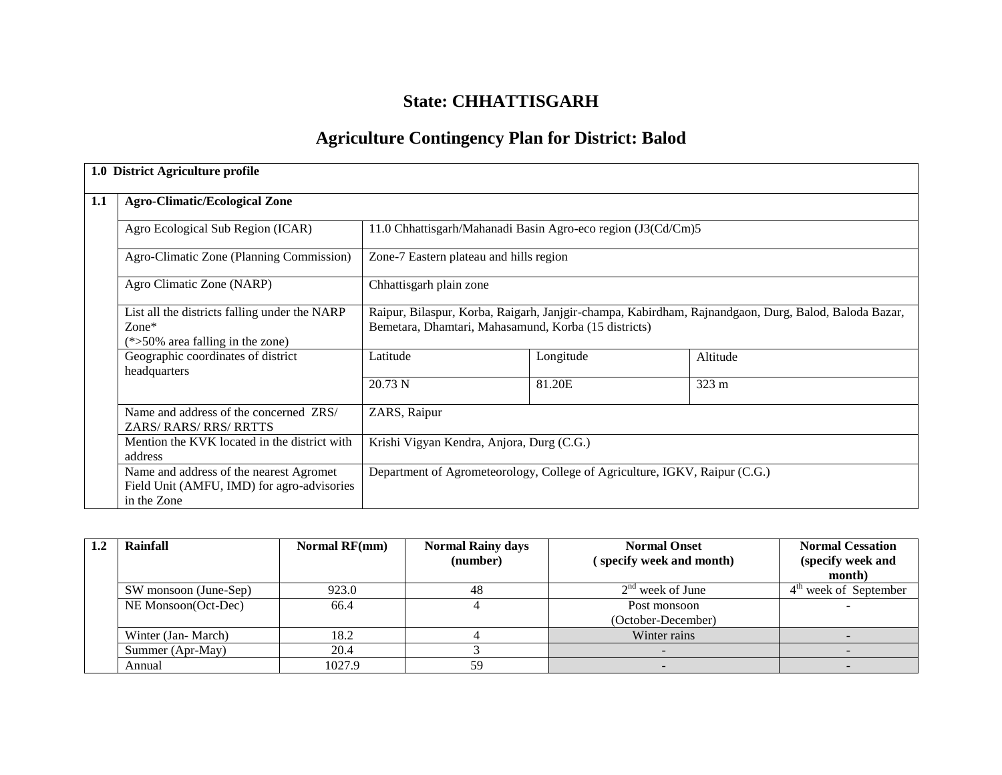# **State: CHHATTISGARH**

# **Agriculture Contingency Plan for District: Balod**

|     | 1.0 District Agriculture profile                                                                     |                                                                                                                                                              |           |          |  |  |
|-----|------------------------------------------------------------------------------------------------------|--------------------------------------------------------------------------------------------------------------------------------------------------------------|-----------|----------|--|--|
| 1.1 | <b>Agro-Climatic/Ecological Zone</b>                                                                 |                                                                                                                                                              |           |          |  |  |
|     | Agro Ecological Sub Region (ICAR)                                                                    | 11.0 Chhattisgarh/Mahanadi Basin Agro-eco region (J3(Cd/Cm)5                                                                                                 |           |          |  |  |
|     | Agro-Climatic Zone (Planning Commission)                                                             | Zone-7 Eastern plateau and hills region                                                                                                                      |           |          |  |  |
|     | Agro Climatic Zone (NARP)                                                                            | Chhattisgarh plain zone                                                                                                                                      |           |          |  |  |
|     | List all the districts falling under the NARP<br>$Zone*$<br>$(*>50\%$ area falling in the zone)      | Raipur, Bilaspur, Korba, Raigarh, Janjgir-champa, Kabirdham, Rajnandgaon, Durg, Balod, Baloda Bazar,<br>Bemetara, Dhamtari, Mahasamund, Korba (15 districts) |           |          |  |  |
|     | Geographic coordinates of district<br>headquarters                                                   | Latitude                                                                                                                                                     | Longitude | Altitude |  |  |
|     |                                                                                                      | 20.73 N                                                                                                                                                      | 81.20E    | 323 m    |  |  |
|     | Name and address of the concerned ZRS/<br><b>ZARS/RARS/RRS/RRTTS</b>                                 | ZARS, Raipur                                                                                                                                                 |           |          |  |  |
|     | Mention the KVK located in the district with<br>address                                              | Krishi Vigyan Kendra, Anjora, Durg (C.G.)                                                                                                                    |           |          |  |  |
|     | Name and address of the nearest Agromet<br>Field Unit (AMFU, IMD) for agro-advisories<br>in the Zone | Department of Agrometeorology, College of Agriculture, IGKV, Raipur (C.G.)                                                                                   |           |          |  |  |

| Rainfall              | Normal RF(mm) | <b>Normal Rainy days</b> | <b>Normal Onset</b>      | <b>Normal Cessation</b> |
|-----------------------|---------------|--------------------------|--------------------------|-------------------------|
|                       |               | (number)                 | (specify week and month) | (specify week and       |
|                       |               |                          |                          | month)                  |
| SW monsoon (June-Sep) | 923.0         | 48                       | $2nd$ week of June       | $4th$ week of September |
| NE Monsoon(Oct-Dec)   | 66.4          |                          | Post monsoon             |                         |
|                       |               |                          | (October-December)       |                         |
| Winter (Jan-March)    | 18.2          |                          | Winter rains             |                         |
| Summer (Apr-May)      | 20.4          |                          |                          |                         |
| Annual                | 1027.9        | 59                       |                          |                         |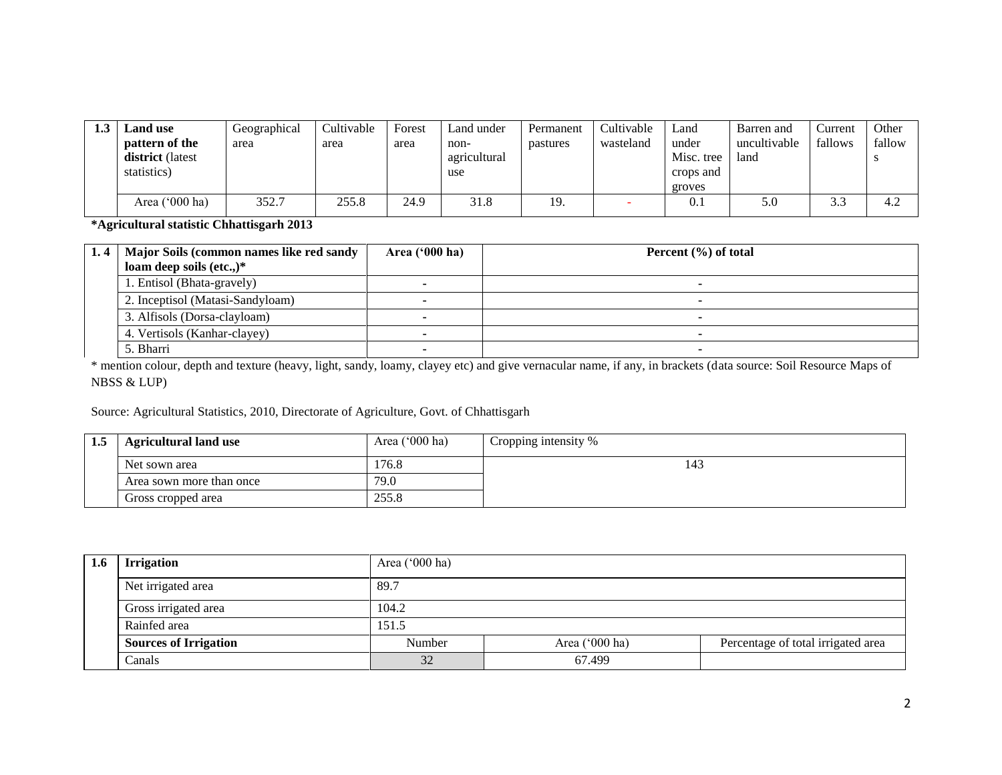| Land use         | Geographical | Cultivable | Forest | Land under   | Permanent | Cultivable | Land       | Barren and   | Current              | Other  |
|------------------|--------------|------------|--------|--------------|-----------|------------|------------|--------------|----------------------|--------|
| pattern of the   | area         | area       | area   | non-         | pastures  | wasteland  | under      | uncultivable | fallows              | fallow |
| district (latest |              |            |        | agricultural |           |            | Misc. tree | land         |                      |        |
| statistics)      |              |            |        | use          |           |            | crops and  |              |                      |        |
|                  |              |            |        |              |           |            | groves     |              |                      |        |
| Area $('000 ha)$ | 352.7        | 255.8      | 24.9   | 31.8         | 19.       |            | U.I        | 5.0          | $\sim$ $\sim$<br>3.3 | 4.2    |

**\*Agricultural statistic Chhattisgarh 2013**

| 1.4   Major Soils (common names like red sandy<br>loam deep soils $(\text{etc.})^*$ | Area $(900 \text{ ha})$ | Percent $(\% )$ of total |
|-------------------------------------------------------------------------------------|-------------------------|--------------------------|
| 1. Entisol (Bhata-gravely)                                                          |                         |                          |
| 2. Inceptisol (Matasi-Sandyloam)                                                    |                         |                          |
| 3. Alfisols (Dorsa-clayloam)                                                        |                         |                          |
| 4. Vertisols (Kanhar-clayey)                                                        |                         |                          |
| 5. Bharri                                                                           |                         |                          |

\* mention colour, depth and texture (heavy, light, sandy, loamy, clayey etc) and give vernacular name, if any, in brackets (data source: Soil Resource Maps of NBSS & LUP)

Source: Agricultural Statistics, 2010, Directorate of Agriculture, Govt. of Chhattisgarh

| 1.5 | <b>Agricultural land use</b> | Area $('000 ha)$ | Cropping intensity % |
|-----|------------------------------|------------------|----------------------|
|     | Net sown area                | 76.8             | 143                  |
|     | Area sown more than once     | 79.0             |                      |
|     | Gross cropped area           | 255.8            |                      |

| 1.6 | <b>Irrigation</b>            | Area $('000 ha)$ |                  |                                    |  |  |  |
|-----|------------------------------|------------------|------------------|------------------------------------|--|--|--|
|     | Net irrigated area           | 89.7             |                  |                                    |  |  |  |
|     | Gross irrigated area         | 104.2            |                  |                                    |  |  |  |
|     | Rainfed area                 | 151.5            |                  |                                    |  |  |  |
|     | <b>Sources of Irrigation</b> | Number           | Area $('000 ha)$ | Percentage of total irrigated area |  |  |  |
|     | Canals                       | 32               | 67.499           |                                    |  |  |  |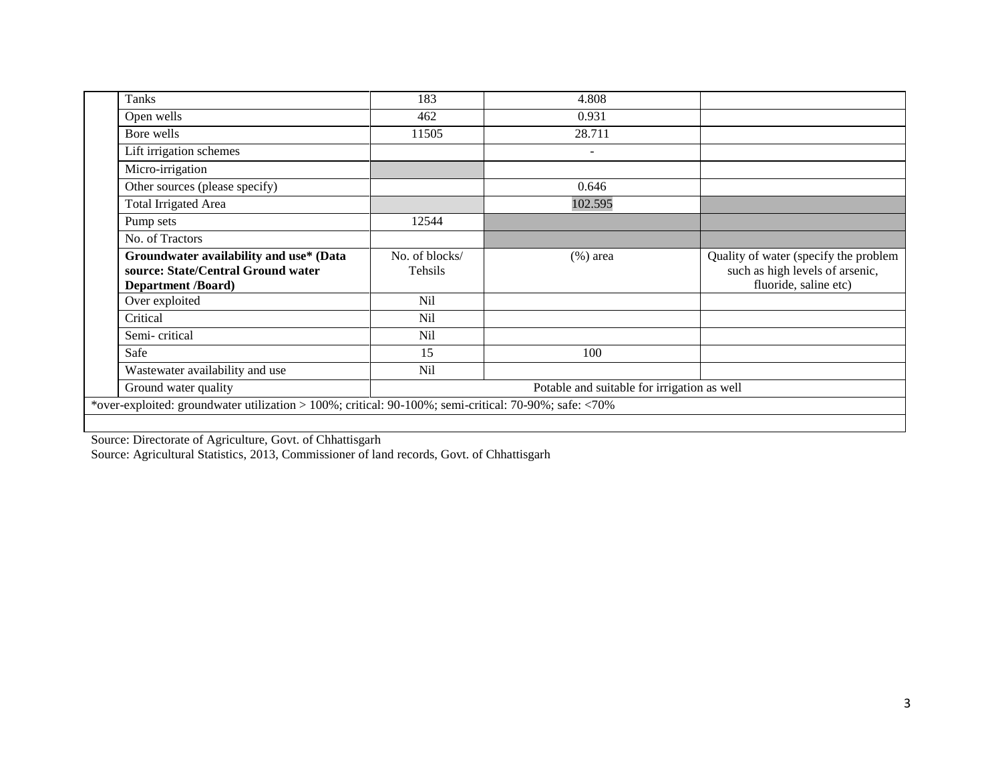| Tanks                                                                                                      | 183                       | 4.808                                       |                                                                                                   |
|------------------------------------------------------------------------------------------------------------|---------------------------|---------------------------------------------|---------------------------------------------------------------------------------------------------|
| Open wells                                                                                                 | 462                       | 0.931                                       |                                                                                                   |
| Bore wells                                                                                                 | 11505                     | 28.711                                      |                                                                                                   |
| Lift irrigation schemes                                                                                    |                           | $\overline{\phantom{a}}$                    |                                                                                                   |
| Micro-irrigation                                                                                           |                           |                                             |                                                                                                   |
| Other sources (please specify)                                                                             |                           | 0.646                                       |                                                                                                   |
| <b>Total Irrigated Area</b>                                                                                |                           | 102.595                                     |                                                                                                   |
| Pump sets                                                                                                  | 12544                     |                                             |                                                                                                   |
| No. of Tractors                                                                                            |                           |                                             |                                                                                                   |
| Groundwater availability and use* (Data<br>source: State/Central Ground water<br><b>Department /Board)</b> | No. of blocks/<br>Tehsils | $(\%)$ area                                 | Quality of water (specify the problem<br>such as high levels of arsenic,<br>fluoride, saline etc) |
| Over exploited                                                                                             | Nil                       |                                             |                                                                                                   |
| Critical                                                                                                   | <b>Nil</b>                |                                             |                                                                                                   |
| Semi-critical                                                                                              | Nil                       |                                             |                                                                                                   |
| Safe                                                                                                       | 15                        | 100                                         |                                                                                                   |
| Wastewater availability and use                                                                            | Nil                       |                                             |                                                                                                   |
| Ground water quality                                                                                       |                           | Potable and suitable for irrigation as well |                                                                                                   |
| *over-exploited: groundwater utilization > 100%; critical: 90-100%; semi-critical: 70-90%; safe: <70%      |                           |                                             |                                                                                                   |

Source: Directorate of Agriculture, Govt. of Chhattisgarh

Source: Agricultural Statistics, 2013, Commissioner of land records, Govt. of Chhattisgarh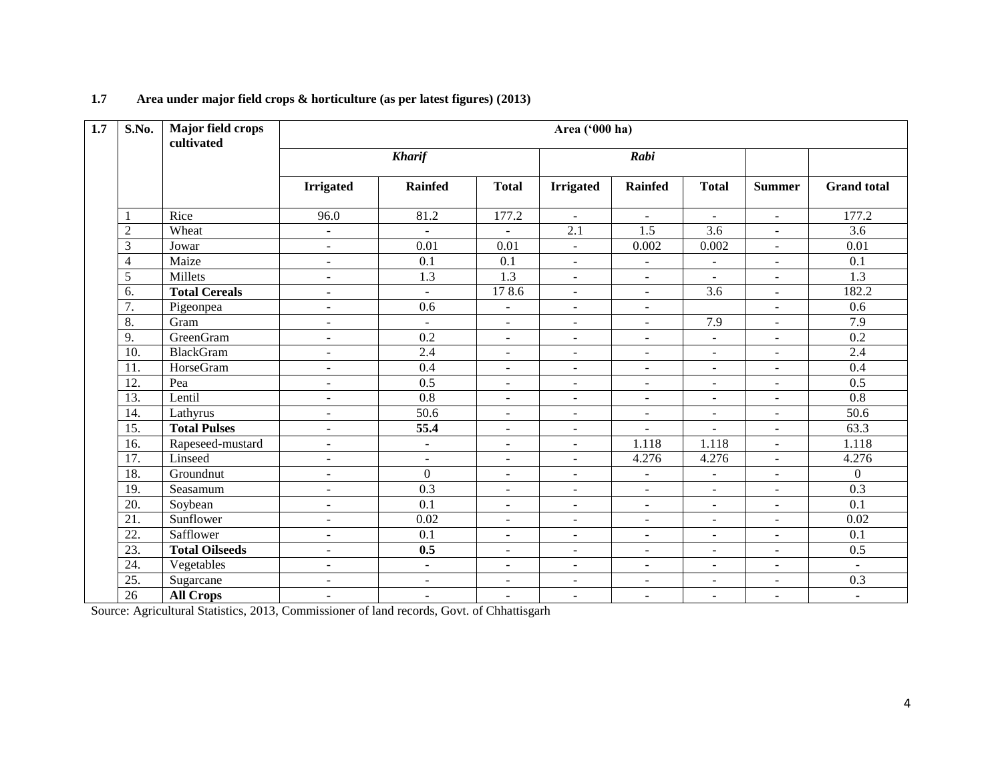| 1.7 | S.No.             | Major field crops<br>cultivated | Area ('000 ha)           |                          |                          |                          |                          |                          |                          |                     |
|-----|-------------------|---------------------------------|--------------------------|--------------------------|--------------------------|--------------------------|--------------------------|--------------------------|--------------------------|---------------------|
|     |                   |                                 |                          | <b>Kharif</b>            |                          | Rabi                     |                          |                          |                          |                     |
|     |                   |                                 | <b>Irrigated</b>         | <b>Rainfed</b>           | <b>Total</b>             | <b>Irrigated</b>         | <b>Rainfed</b>           | <b>Total</b>             | <b>Summer</b>            | <b>Grand</b> total  |
|     | 1                 | Rice                            | 96.0                     | 81.2                     | 177.2                    | $\sim$                   | $\overline{\phantom{a}}$ | $\mathcal{L}$            | $\mathbf{r}$             | 177.2               |
|     | $\overline{2}$    | Wheat                           | $\overline{\phantom{a}}$ | $\overline{\phantom{a}}$ | $\overline{\phantom{0}}$ | $\overline{2.1}$         | $\overline{1.5}$         | $\overline{3.6}$         | $\blacksquare$           | $\overline{3.6}$    |
|     | 3                 | Jowar                           | $\overline{\phantom{a}}$ | $\overline{0.01}$        | 0.01                     | $\blacksquare$           | 0.002                    | 0.002                    | $\blacksquare$           | 0.01                |
|     | 4                 | Maize                           | $\overline{\phantom{a}}$ | 0.1                      | 0.1                      | $\blacksquare$           | $\overline{\phantom{a}}$ | $\equiv$                 | $\overline{\phantom{a}}$ | $\overline{0.1}$    |
|     | 5                 | Millets                         | $\overline{\phantom{a}}$ | 1.3                      | 1.3                      | $\blacksquare$           | $\blacksquare$           | $\blacksquare$           | $\blacksquare$           | 1.3                 |
|     | 6.                | <b>Total Cereals</b>            | $\blacksquare$           | $\equiv$                 | 178.6                    | $\blacksquare$           | $\blacksquare$           | 3.6                      | $\blacksquare$           | 182.2               |
|     | 7.                | Pigeonpea                       | $\sim$                   | $\overline{0.6}$         | $\sim$                   | $\blacksquare$           | $\mathbf{r}$             |                          | $\mathbf{r}$             | 0.6                 |
|     | 8.                | Gram                            | $\overline{\phantom{a}}$ | $\blacksquare$           | $\blacksquare$           | $\overline{\phantom{a}}$ | $\blacksquare$           | 7.9                      | $\blacksquare$           | 7.9                 |
|     | 9.                | <b>GreenGram</b>                | $\blacksquare$           | 0.2                      | $\overline{a}$           | $\omega$                 | $\overline{\phantom{a}}$ | $\equiv$                 | $\overline{\phantom{a}}$ | $\overline{0.2}$    |
|     | 10.               | <b>BlackGram</b>                | $\blacksquare$           | 2.4                      | $\overline{a}$           | $\blacksquare$           | $\overline{\phantom{a}}$ | $\equiv$                 | $\blacksquare$           | 2.4                 |
|     | 11.               | HorseGram                       | $\overline{\phantom{a}}$ | 0.4                      | $\overline{\phantom{a}}$ | $\blacksquare$           | $\overline{\phantom{a}}$ | $\blacksquare$           | $\blacksquare$           | 0.4                 |
|     | $\overline{12}$ . | Pea                             | $\overline{\phantom{a}}$ | 0.5                      | $\overline{\phantom{a}}$ | $\blacksquare$           | $\overline{\phantom{a}}$ | $\overline{\phantom{a}}$ | $\blacksquare$           | 0.5                 |
|     | 13.               | Lentil                          | $\blacksquare$           | 0.8                      | $\overline{a}$           | $\blacksquare$           | $\overline{\phantom{a}}$ | $\blacksquare$           | $\blacksquare$           | $\overline{0.8}$    |
|     | 14.               | Lathyrus                        | $\overline{\phantom{a}}$ | 50.6                     | $\overline{\phantom{a}}$ | $\blacksquare$           | $\overline{\phantom{a}}$ | $\overline{\phantom{a}}$ | $\blacksquare$           | $\frac{50.6}{50.6}$ |
|     | 15.               | <b>Total Pulses</b>             | $\overline{\phantom{a}}$ | 55.4                     | $\overline{\phantom{a}}$ | $\blacksquare$           | $\sim$                   | $\blacksquare$           | $\blacksquare$           | 63.3                |
|     | 16.               | Rapeseed-mustard                | $\overline{\phantom{a}}$ | $\blacksquare$           | $\overline{\phantom{a}}$ | $\blacksquare$           | 1.118                    | 1.118                    | $\blacksquare$           | 1.118               |
|     | 17.               | Linseed                         | $\overline{\phantom{a}}$ | $\blacksquare$           | $\overline{\phantom{a}}$ | $\blacksquare$           | 4.276                    | 4.276                    | $\blacksquare$           | 4.276               |
|     | 18.               | Groundnut                       | $\blacksquare$           | $\overline{0}$           | $\equiv$                 | $\blacksquare$           | $\blacksquare$           | $\overline{\phantom{a}}$ | $\blacksquare$           | $\overline{0}$      |
|     | 19.               | Seasamum                        | $\overline{\phantom{a}}$ | 0.3                      | $\sim$                   | $\omega$                 | $\overline{\phantom{a}}$ | $\overline{\phantom{a}}$ | $\overline{\phantom{a}}$ | 0.3                 |
|     | 20.               | Soybean                         | $\blacksquare$           | 0.1                      | $\overline{a}$           | $\blacksquare$           | $\blacksquare$           | $\blacksquare$           | $\blacksquare$           | 0.1                 |
|     | $\overline{21}$ . | Sunflower                       | $\blacksquare$           | 0.02                     | $\blacksquare$           | $\blacksquare$           | $\blacksquare$           | $\equiv$                 | $\omega$                 | 0.02                |
|     | 22.               | Safflower                       | $\blacksquare$           | 0.1                      | $\overline{\phantom{a}}$ | $\blacksquare$           | $\overline{\phantom{a}}$ | $\sim$                   | $\sim$                   | 0.1                 |
|     | $\overline{23}$ . | <b>Total Oilseeds</b>           | $\overline{\phantom{a}}$ | 0.5                      | $\overline{\phantom{a}}$ | $\blacksquare$           | $\blacksquare$           | $\overline{\phantom{a}}$ | $\blacksquare$           | 0.5                 |
|     | 24.               | Vegetables                      | $\overline{\phantom{a}}$ | $\blacksquare$           | $\overline{\phantom{a}}$ | $\overline{\phantom{a}}$ | $\overline{\phantom{a}}$ | $\blacksquare$           | $\blacksquare$           | $\omega$            |
|     | 25.               | Sugarcane                       | $\blacksquare$           | $\blacksquare$           | $\overline{\phantom{a}}$ | $\blacksquare$           | $\blacksquare$           | $\blacksquare$           | $\blacksquare$           | 0.3                 |
|     | 26                | <b>All Crops</b>                | $\overline{\phantom{a}}$ | $\blacksquare$           | $\overline{\phantom{a}}$ | $\blacksquare$           | $\overline{\phantom{a}}$ | $\overline{\phantom{a}}$ | $\blacksquare$           | $\blacksquare$      |

# **1.7 Area under major field crops & horticulture (as per latest figures) (2013)**

Source: Agricultural Statistics, 2013, Commissioner of land records, Govt. of Chhattisgarh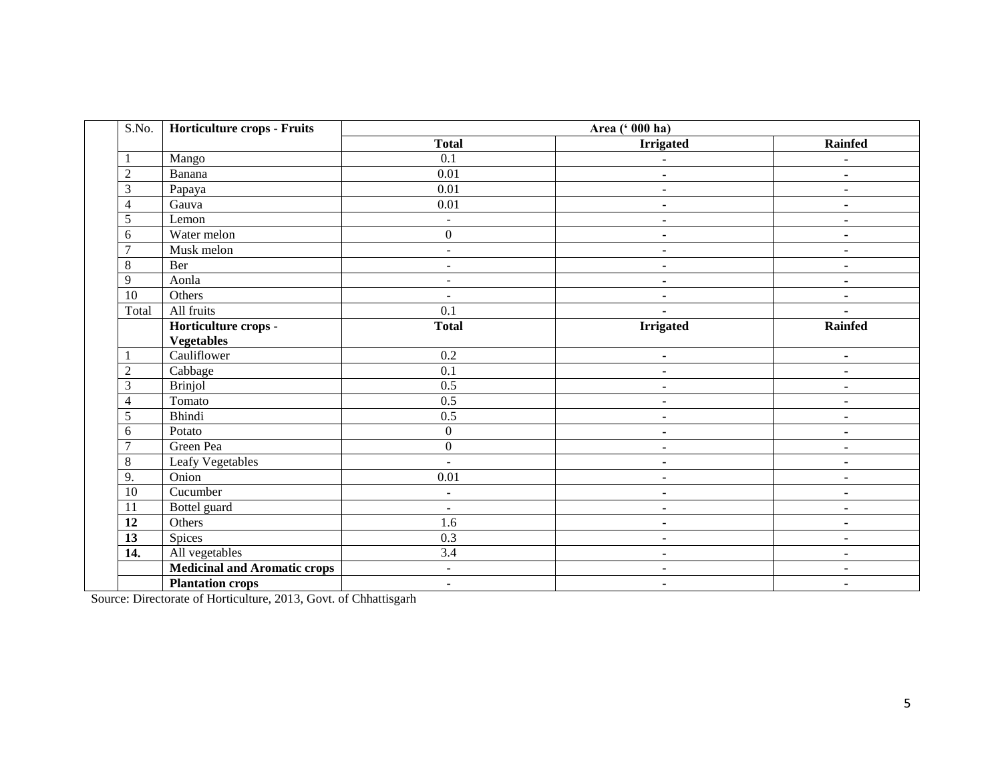| S.No.          | Horticulture crops - Fruits         | Area (' 000 ha)   |                  |                              |  |
|----------------|-------------------------------------|-------------------|------------------|------------------------------|--|
|                |                                     | <b>Total</b>      | <b>Irrigated</b> | <b>Rainfed</b>               |  |
|                | Mango                               | $\overline{0.1}$  |                  | $\blacksquare$               |  |
| $\overline{2}$ | Banana                              | 0.01              | ä,               | $\blacksquare$               |  |
| 3              | Papaya                              | 0.01              | $\blacksquare$   | $\blacksquare$               |  |
| $\overline{4}$ | Gauva                               | $\overline{0.01}$ | $\blacksquare$   | $\blacksquare$               |  |
| 5              | Lemon                               | $\mathbf{r}$      | ä,               | $\qquad \qquad \blacksquare$ |  |
| 6              | Water melon                         | $\boldsymbol{0}$  | $\blacksquare$   | $\blacksquare$               |  |
| 7              | Musk melon                          | $\sim$            | ۰                | ٠                            |  |
| 8              | Ber                                 | $\sim$            | $\blacksquare$   | ٠                            |  |
| 9              | Aonla                               | $\sim$            | $\blacksquare$   | ٠                            |  |
| 10             | Others                              | $\sim$            | ۰                | ٠                            |  |
| Total          | All fruits                          | $\overline{0.1}$  |                  |                              |  |
|                | Horticulture crops -                | <b>Total</b>      | <b>Irrigated</b> | <b>Rainfed</b>               |  |
|                | <b>Vegetables</b>                   |                   |                  |                              |  |
|                | Cauliflower                         | 0.2               | $\blacksquare$   | $\blacksquare$               |  |
| $\overline{2}$ | Cabbage                             | 0.1               | $\blacksquare$   | $\blacksquare$               |  |
| 3              | <b>Brinjol</b>                      | 0.5               | $\blacksquare$   | $\blacksquare$               |  |
| $\overline{4}$ | Tomato                              | $0.5\,$           | ۰                | ٠                            |  |
| 5              | Bhindi                              | $0.5\,$           | $\blacksquare$   | $\blacksquare$               |  |
| 6              | Potato                              | $\boldsymbol{0}$  | $\blacksquare$   | $\blacksquare$               |  |
| $\overline{ }$ | Green Pea                           | $\boldsymbol{0}$  | ۰                | $\blacksquare$               |  |
| 8              | Leafy Vegetables                    |                   | $\blacksquare$   | $\blacksquare$               |  |
| 9.             | Onion                               | 0.01              | ٠                | ٠                            |  |
| 10             | Cucumber                            | $\blacksquare$    | $\blacksquare$   | $\blacksquare$               |  |
| 11             | Bottel guard                        | ٠                 | $\blacksquare$   | $\blacksquare$               |  |
| 12             | Others                              | 1.6               | ä,               | $\blacksquare$               |  |
| 13             | Spices                              | $\overline{0.3}$  | $\blacksquare$   | $\blacksquare$               |  |
| 14.            | All vegetables                      | 3.4               | ۰                | ٠                            |  |
|                | <b>Medicinal and Aromatic crops</b> | $\blacksquare$    | $\blacksquare$   | $\blacksquare$               |  |
|                | <b>Plantation crops</b>             | ٠.                | ٠                | ٠                            |  |

Source: Directorate of Horticulture, 2013, Govt. of Chhattisgarh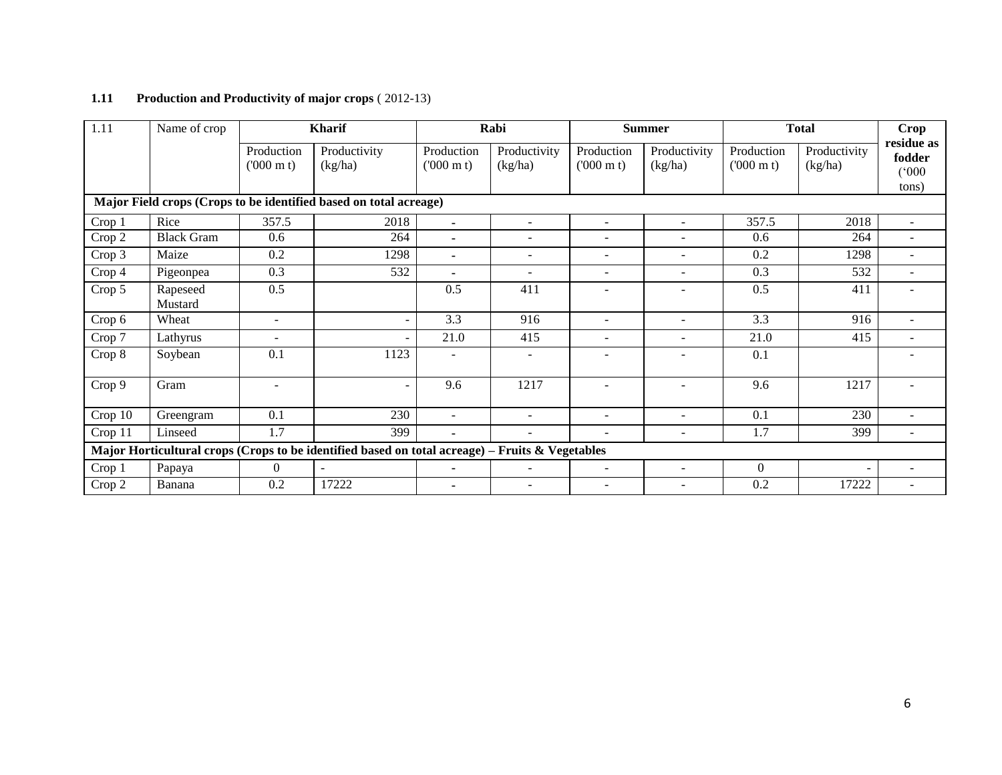# **1.11 Production and Productivity of major crops** ( 2012-13)

| 1.11    | Name of crop        |                                 | <b>Kharif</b>                                                                                   |                                 | Rabi                     |                                 | <b>Summer</b>           |                                 | <b>Total</b>             | Crop                          |
|---------|---------------------|---------------------------------|-------------------------------------------------------------------------------------------------|---------------------------------|--------------------------|---------------------------------|-------------------------|---------------------------------|--------------------------|-------------------------------|
|         |                     | Production<br>$(000 \text{ m})$ | Productivity<br>(kg/ha)                                                                         | Production<br>$(000 \text{ m})$ | Productivity<br>(kg/ha)  | Production<br>$(000 \text{ m})$ | Productivity<br>(kg/ha) | Production<br>$(000 \text{ m})$ | Productivity<br>(kg/ha)  | residue as<br>fodder<br>(000) |
|         |                     |                                 | Major Field crops (Crops to be identified based on total acreage)                               |                                 |                          |                                 |                         |                                 |                          | tons)                         |
| Crop 1  | Rice                | 357.5                           | 2018                                                                                            | $\blacksquare$                  | $\sim$                   | $\sim$                          | ÷.                      | 357.5                           | 2018                     |                               |
| Crop 2  | <b>Black Gram</b>   | 0.6                             | 264                                                                                             | $\blacksquare$                  | $\overline{\phantom{a}}$ |                                 |                         | 0.6                             | 264                      |                               |
| Crop 3  | Maize               | 0.2                             | 1298                                                                                            | $\blacksquare$                  | $\overline{\phantom{a}}$ | $\overline{\phantom{a}}$        | ۰                       | 0.2                             | 1298                     |                               |
| Crop 4  | Pigeonpea           | 0.3                             | 532                                                                                             | $\blacksquare$                  | $\sim$                   |                                 | ÷.                      | 0.3                             | 532                      |                               |
| Crop 5  | Rapeseed<br>Mustard | 0.5                             |                                                                                                 | 0.5                             | 411                      |                                 | ۰                       | 0.5                             | 411                      |                               |
| Crop 6  | Wheat               | $\overline{\phantom{a}}$        | $\sim$                                                                                          | 3.3                             | 916                      | $\overline{a}$                  | ٠                       | 3.3                             | 916                      | $\overline{\phantom{a}}$      |
| Crop 7  | Lathyrus            | $\overline{\phantom{a}}$        |                                                                                                 | 21.0                            | 415                      | $\overline{\phantom{a}}$        | ۰                       | 21.0                            | 415                      |                               |
| Crop 8  | Soybean             | 0.1                             | 1123                                                                                            | $\overline{\phantom{a}}$        | $\overline{\phantom{a}}$ |                                 | -                       | 0.1                             |                          |                               |
| Crop 9  | Gram                | $\overline{\phantom{a}}$        | $\overline{\phantom{a}}$                                                                        | 9.6                             | 1217                     |                                 |                         | 9.6                             | 1217                     |                               |
| Crop 10 | Greengram           | 0.1                             | 230                                                                                             | $\sim$                          | $\sim$                   | $\overline{a}$                  | ٠                       | 0.1                             | 230                      |                               |
| Crop 11 | Linseed             | 1.7                             | 399                                                                                             | $\blacksquare$                  | $\overline{\phantom{a}}$ |                                 | -                       | 1.7                             | 399                      |                               |
|         |                     |                                 | Major Horticultural crops (Crops to be identified based on total acreage) – Fruits & Vegetables |                                 |                          |                                 |                         |                                 |                          |                               |
| Crop 1  | Papaya              | $\theta$                        | $\blacksquare$                                                                                  | $\blacksquare$                  | $\overline{\phantom{a}}$ | $\overline{\phantom{a}}$        | -                       | $\Omega$                        | $\overline{\phantom{a}}$ |                               |
| Crop 2  | Banana              | 0.2                             | 17222                                                                                           |                                 | ۰                        | $\overline{\phantom{a}}$        | -                       | 0.2                             | 17222                    |                               |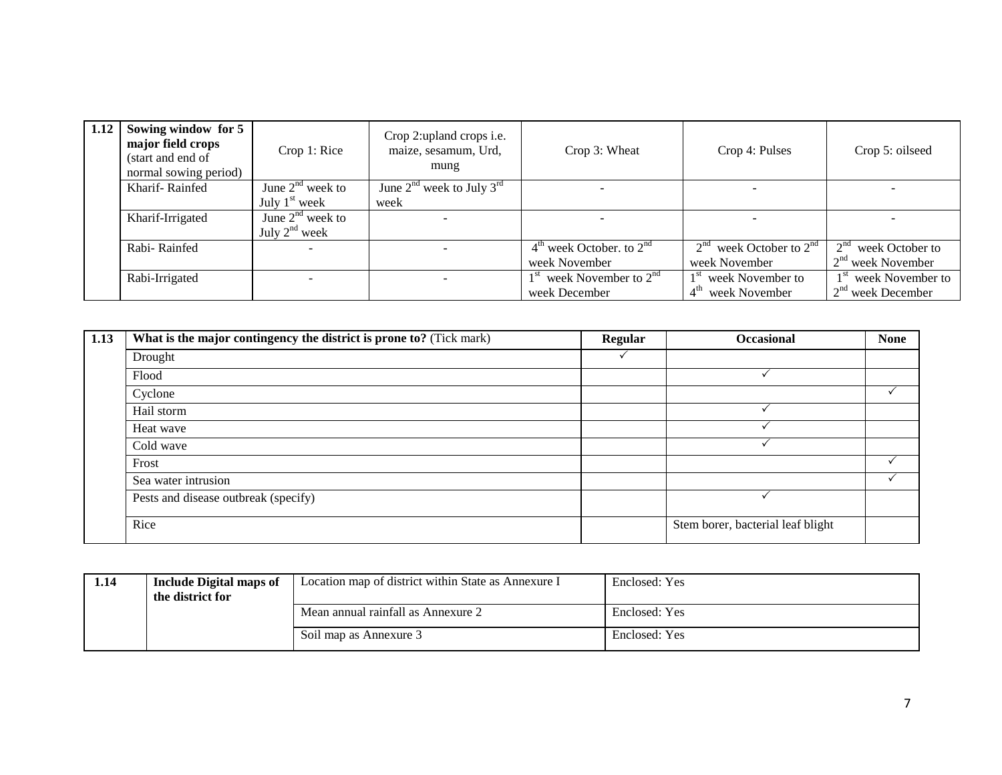| 1.12 | Sowing window for 5<br>major field crops<br>(start and end of<br>normal sowing period) | Crop 1: Rice                             | Crop 2: upland crops i.e.<br>maize, sesamum, Urd,<br>mung | Crop 3: Wheat                                 | Crop 4: Pulses                                                    | Crop 5: oilseed                                         |  |
|------|----------------------------------------------------------------------------------------|------------------------------------------|-----------------------------------------------------------|-----------------------------------------------|-------------------------------------------------------------------|---------------------------------------------------------|--|
|      | Kharif-Rainfed                                                                         | June $2nd$ week to<br>July $1st$ week    | June $2^{nd}$ week to July $3^{rd}$<br>week               |                                               |                                                                   |                                                         |  |
|      | Kharif-Irrigated                                                                       | June $2nd$ week to<br>July $2^{nd}$ week |                                                           |                                               |                                                                   |                                                         |  |
|      | Rabi-Rainfed                                                                           |                                          | $4th$ week October. to $2nd$<br>week November             | $2nd$ week October to $2nd$<br>week November  | 2 <sup>nd</sup><br>week October to<br>$2nd$ week November         |                                                         |  |
|      | Rabi-Irrigated                                                                         |                                          |                                                           | $1st$ week November to $2nd$<br>week December | 1 <sup>st</sup> week November to<br>4 <sup>th</sup> week November | 1 <sup>st</sup> week November to<br>$2nd$ week December |  |

| 1.13 | What is the major contingency the district is prone to? (Tick mark) | <b>Regular</b> | Occasional                        | <b>None</b> |
|------|---------------------------------------------------------------------|----------------|-----------------------------------|-------------|
|      | Drought                                                             |                |                                   |             |
|      | Flood                                                               |                |                                   |             |
|      | Cyclone                                                             |                |                                   |             |
|      | Hail storm                                                          |                |                                   |             |
|      | Heat wave                                                           |                |                                   |             |
|      | Cold wave                                                           |                |                                   |             |
|      | Frost                                                               |                |                                   |             |
|      | Sea water intrusion                                                 |                |                                   |             |
|      | Pests and disease outbreak (specify)                                |                |                                   |             |
|      | Rice                                                                |                | Stem borer, bacterial leaf blight |             |

| 1.14 | <b>Include Digital maps of</b><br>the district for | Location map of district within State as Annexure I | Enclosed: Yes |
|------|----------------------------------------------------|-----------------------------------------------------|---------------|
|      |                                                    | Mean annual rainfall as Annexure 2                  | Enclosed: Yes |
|      |                                                    | Soil map as Annexure 3                              | Enclosed: Yes |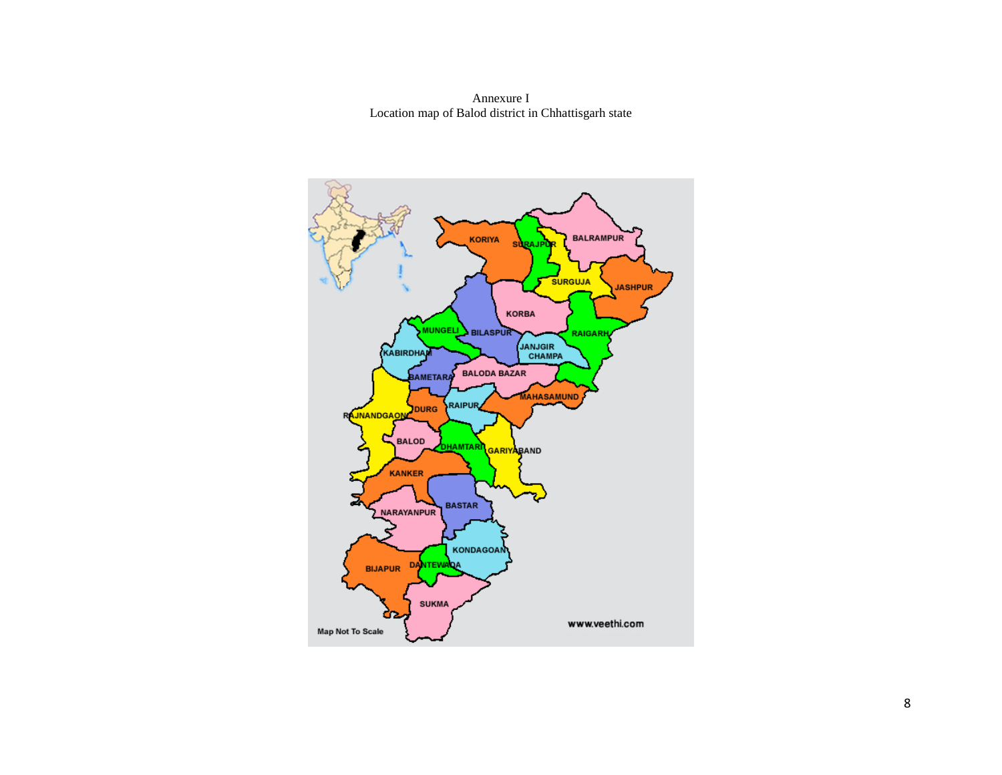Annexure I Location map of Balod district in Chhattisgarh state

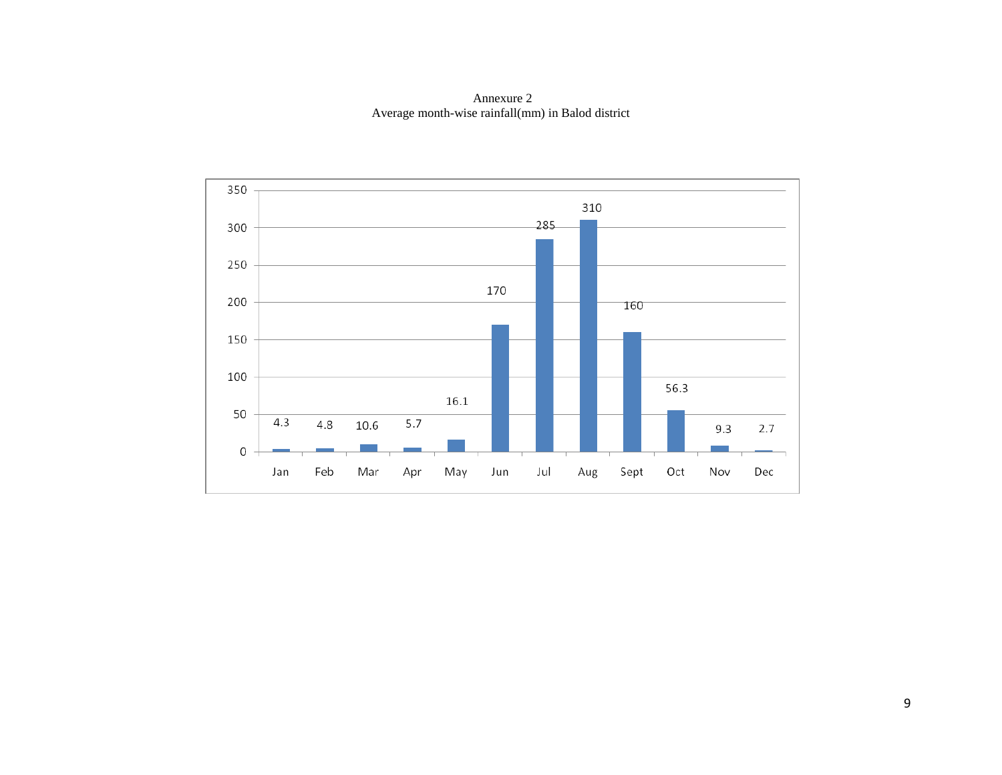Annexure 2 Average month-wise rainfall(mm) in Balod district

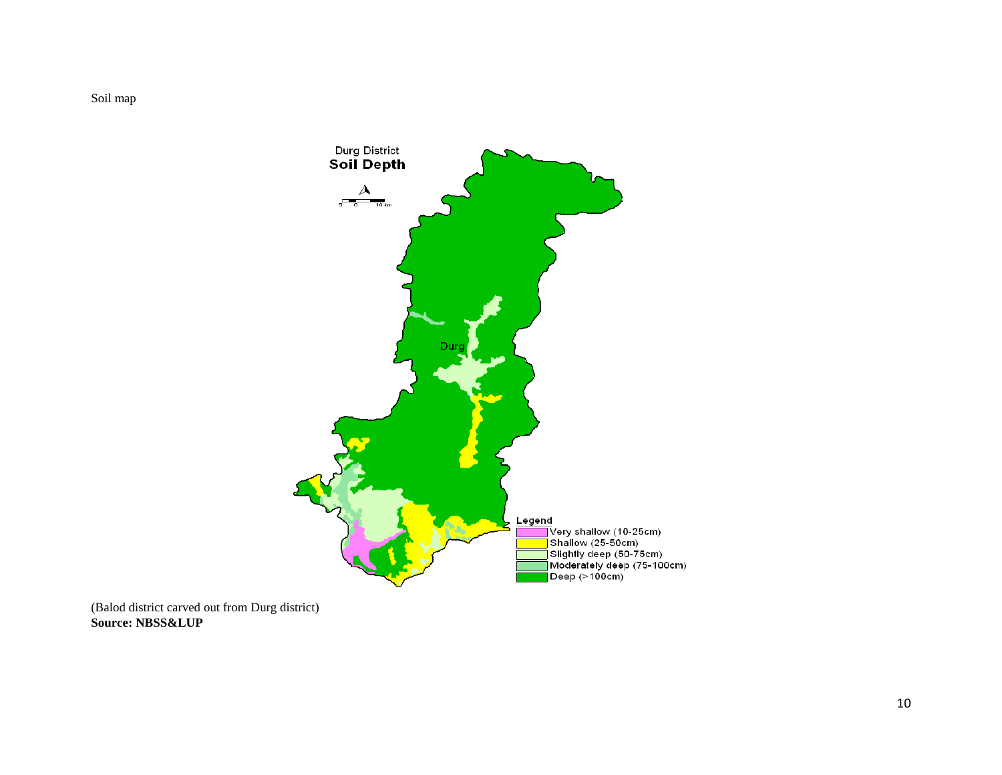Soil map



(Balod district carved out from Durg district) **Source: NBSS&LUP**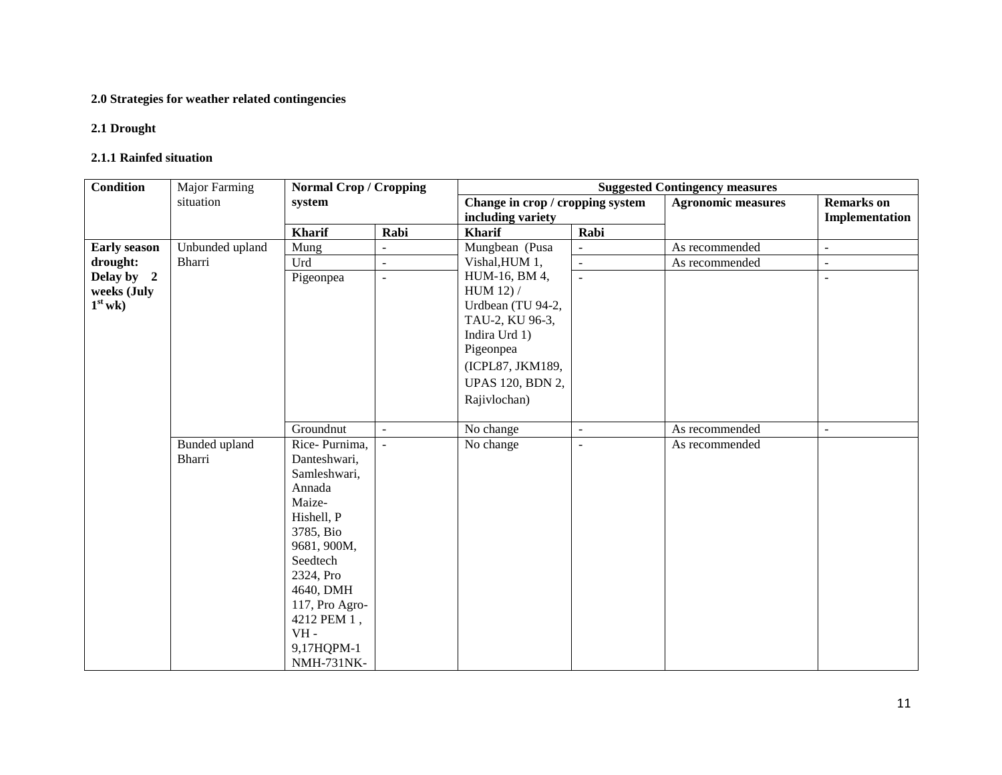# **2.0 Strategies for weather related contingencies**

## **2.1 Drought**

#### **2.1.1 Rainfed situation**

| Condition           | Major Farming   | <b>Normal Crop / Cropping</b> |                          | <b>Suggested Contingency measures</b> |                |                           |                          |  |
|---------------------|-----------------|-------------------------------|--------------------------|---------------------------------------|----------------|---------------------------|--------------------------|--|
|                     | situation       | system                        |                          | Change in crop / cropping system      |                | <b>Agronomic measures</b> | <b>Remarks</b> on        |  |
|                     |                 |                               |                          | including variety                     |                |                           | Implementation           |  |
|                     |                 | <b>Kharif</b>                 | Rabi                     | <b>Kharif</b>                         | Rabi           |                           |                          |  |
| <b>Early season</b> | Unbunded upland | Mung                          |                          | Mungbean (Pusa                        | ÷,             | As recommended            | $\omega$                 |  |
| drought:            | Bharri          | Urd                           | $\overline{a}$           | Vishal, HUM 1,                        | $\mathbf{r}$   | As recommended            | $\sim$                   |  |
| Delay by 2          |                 | Pigeonpea                     | $\overline{\phantom{a}}$ | HUM-16, BM 4,                         | $\mathbf{r}$   |                           | $\overline{\phantom{a}}$ |  |
| weeks (July         |                 |                               |                          | HUM 12 $)/$                           |                |                           |                          |  |
| $1st$ wk)           |                 |                               |                          | Urdbean (TU 94-2,                     |                |                           |                          |  |
|                     |                 |                               |                          | TAU-2, KU 96-3,                       |                |                           |                          |  |
|                     |                 |                               |                          | Indira Urd 1)                         |                |                           |                          |  |
|                     |                 |                               |                          | Pigeonpea                             |                |                           |                          |  |
|                     |                 |                               |                          | (ICPL87, JKM189,                      |                |                           |                          |  |
|                     |                 |                               |                          | <b>UPAS 120, BDN 2,</b>               |                |                           |                          |  |
|                     |                 |                               |                          | Rajivlochan)                          |                |                           |                          |  |
|                     |                 |                               |                          |                                       |                |                           |                          |  |
|                     |                 | Groundnut                     | $\sim$                   | No change                             | $\overline{a}$ | As recommended            | $\blacksquare$           |  |
|                     | Bunded upland   | Rice-Purnima,                 |                          | No change                             | $\overline{a}$ | As recommended            |                          |  |
|                     | Bharri          | Danteshwari,                  |                          |                                       |                |                           |                          |  |
|                     |                 | Samleshwari,                  |                          |                                       |                |                           |                          |  |
|                     |                 | Annada<br>Maize-              |                          |                                       |                |                           |                          |  |
|                     |                 | Hishell, P                    |                          |                                       |                |                           |                          |  |
|                     |                 | 3785, Bio                     |                          |                                       |                |                           |                          |  |
|                     |                 | 9681, 900M,                   |                          |                                       |                |                           |                          |  |
|                     |                 | Seedtech                      |                          |                                       |                |                           |                          |  |
|                     |                 | 2324, Pro                     |                          |                                       |                |                           |                          |  |
|                     |                 | 4640, DMH                     |                          |                                       |                |                           |                          |  |
|                     |                 | 117, Pro Agro-                |                          |                                       |                |                           |                          |  |
|                     |                 | 4212 PEM 1,                   |                          |                                       |                |                           |                          |  |
|                     |                 | $VH -$                        |                          |                                       |                |                           |                          |  |
|                     |                 | 9,17HQPM-1                    |                          |                                       |                |                           |                          |  |
|                     |                 | <b>NMH-731NK-</b>             |                          |                                       |                |                           |                          |  |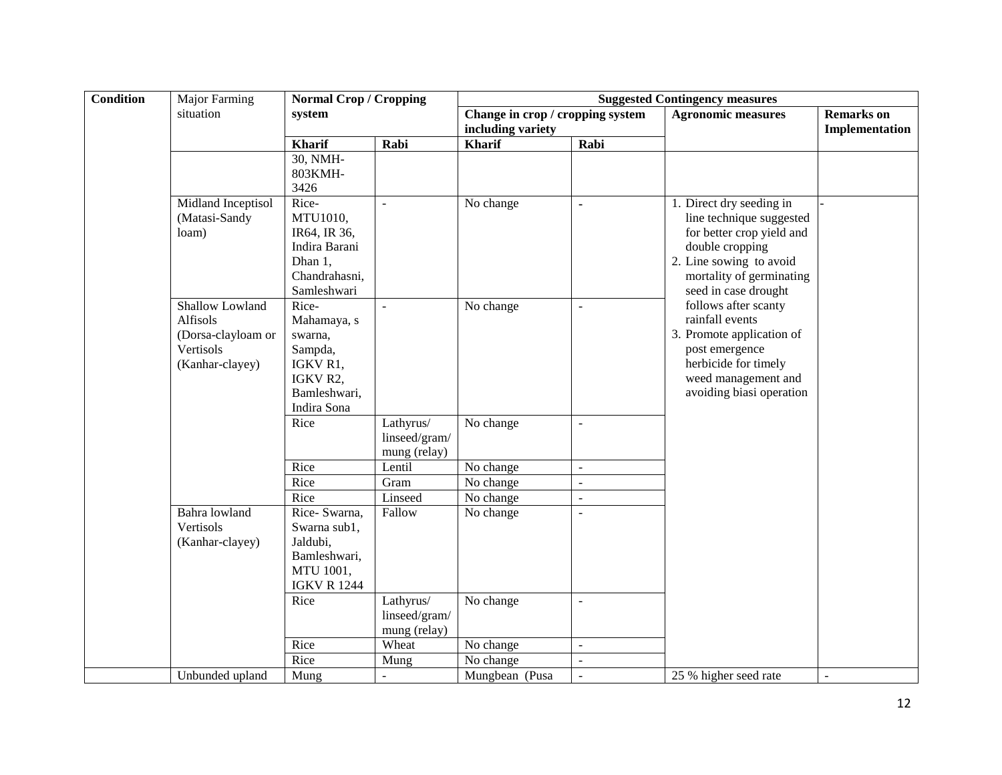| <b>Condition</b> | Major Farming                                                                     | <b>Normal Crop / Cropping</b>                                                                     |                                            | <b>Suggested Contingency measures</b>                 |                          |                                                                                                                                                                                                                                                                                                                                                          |                                     |
|------------------|-----------------------------------------------------------------------------------|---------------------------------------------------------------------------------------------------|--------------------------------------------|-------------------------------------------------------|--------------------------|----------------------------------------------------------------------------------------------------------------------------------------------------------------------------------------------------------------------------------------------------------------------------------------------------------------------------------------------------------|-------------------------------------|
|                  | situation                                                                         | system                                                                                            |                                            | Change in crop / cropping system<br>including variety |                          | <b>Agronomic measures</b>                                                                                                                                                                                                                                                                                                                                | <b>Remarks</b> on<br>Implementation |
|                  |                                                                                   | <b>Kharif</b>                                                                                     | Rabi                                       | <b>Kharif</b>                                         | Rabi                     |                                                                                                                                                                                                                                                                                                                                                          |                                     |
|                  |                                                                                   | 30, NMH-<br>803KMH-<br>3426                                                                       |                                            |                                                       |                          |                                                                                                                                                                                                                                                                                                                                                          |                                     |
|                  | Midland Inceptisol<br>(Matasi-Sandy<br>loam)                                      | Rice-<br>MTU1010,<br>IR64, IR 36,<br>Indira Barani<br>Dhan 1,<br>Chandrahasni,<br>Samleshwari     | $\blacksquare$                             | No change                                             | ä,                       | 1. Direct dry seeding in<br>line technique suggested<br>for better crop yield and<br>double cropping<br>2. Line sowing to avoid<br>mortality of germinating<br>seed in case drought<br>follows after scanty<br>rainfall events<br>3. Promote application of<br>post emergence<br>herbicide for timely<br>weed management and<br>avoiding biasi operation |                                     |
|                  | Shallow Lowland<br>Alfisols<br>(Dorsa-clayloam or<br>Vertisols<br>(Kanhar-clayey) | Rice-<br>Mahamaya, s<br>swarna,<br>Sampda,<br>IGKV R1,<br>IGKV R2,<br>Bamleshwari,<br>Indira Sona |                                            | No change                                             | $\overline{\phantom{a}}$ |                                                                                                                                                                                                                                                                                                                                                          |                                     |
|                  |                                                                                   | Rice                                                                                              | Lathyrus/<br>linseed/gram/<br>mung (relay) | No change                                             | $\overline{\phantom{a}}$ |                                                                                                                                                                                                                                                                                                                                                          |                                     |
|                  |                                                                                   | Rice                                                                                              | Lentil                                     | No change                                             | $\overline{\phantom{a}}$ |                                                                                                                                                                                                                                                                                                                                                          |                                     |
|                  |                                                                                   | Rice                                                                                              | Gram                                       | No change                                             | $\overline{a}$           |                                                                                                                                                                                                                                                                                                                                                          |                                     |
|                  |                                                                                   | Rice                                                                                              | Linseed                                    | No change                                             | $\sim$                   |                                                                                                                                                                                                                                                                                                                                                          |                                     |
|                  | Bahra lowland<br>Vertisols<br>(Kanhar-clayey)                                     | Rice-Swarna,<br>Swarna sub1,<br>Jaldubi,<br>Bamleshwari,<br>MTU 1001,<br><b>IGKV R 1244</b>       | Fallow                                     | No change                                             | $\blacksquare$           |                                                                                                                                                                                                                                                                                                                                                          |                                     |
|                  |                                                                                   | Rice                                                                                              | Lathyrus/<br>linseed/gram/<br>mung (relay) | No change                                             | $\overline{a}$           |                                                                                                                                                                                                                                                                                                                                                          |                                     |
|                  |                                                                                   | Rice                                                                                              | Wheat                                      | No change                                             | $\overline{\phantom{a}}$ |                                                                                                                                                                                                                                                                                                                                                          |                                     |
|                  |                                                                                   | Rice                                                                                              | Mung                                       | No change                                             | ÷,                       |                                                                                                                                                                                                                                                                                                                                                          |                                     |
|                  | Unbunded upland                                                                   | Mung                                                                                              |                                            | Mungbean (Pusa                                        | $\overline{\phantom{a}}$ | 25 % higher seed rate                                                                                                                                                                                                                                                                                                                                    | $\blacksquare$                      |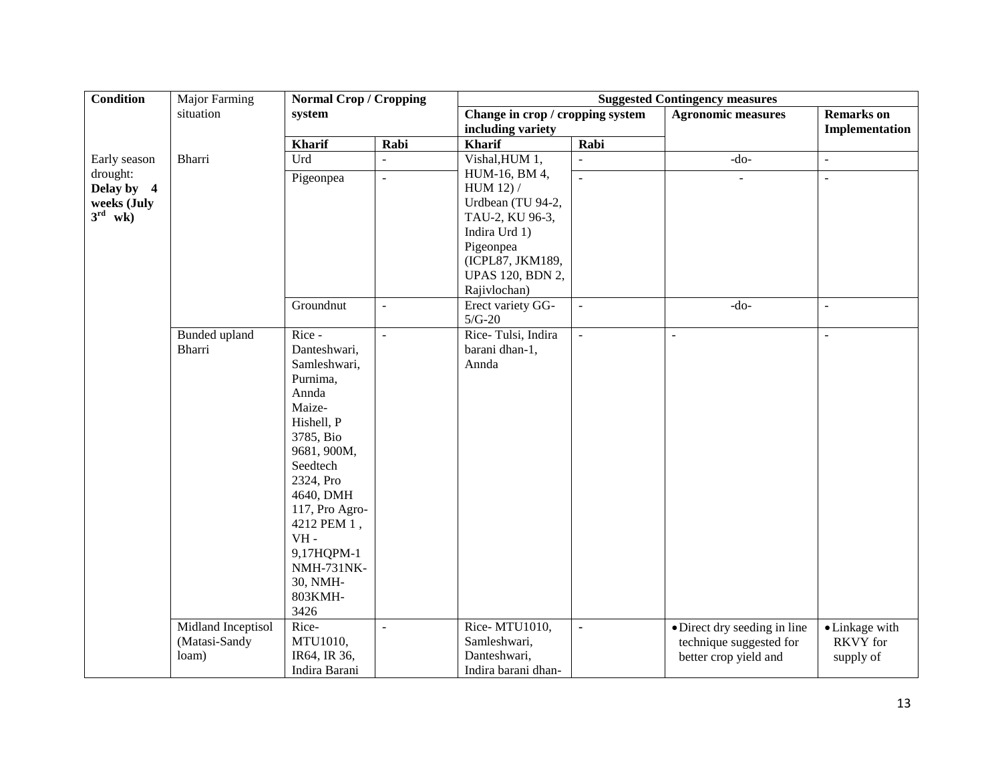| <b>Condition</b>                                      | <b>Major Farming</b><br><b>Normal Crop / Cropping</b> |                                                                                                                                                                                                                                                                    | <b>Suggested Contingency measures</b> |                                                                                                                                          |                          |                                                                                  |                                                |
|-------------------------------------------------------|-------------------------------------------------------|--------------------------------------------------------------------------------------------------------------------------------------------------------------------------------------------------------------------------------------------------------------------|---------------------------------------|------------------------------------------------------------------------------------------------------------------------------------------|--------------------------|----------------------------------------------------------------------------------|------------------------------------------------|
|                                                       | situation                                             | system                                                                                                                                                                                                                                                             |                                       | Change in crop / cropping system                                                                                                         |                          | <b>Agronomic measures</b>                                                        | <b>Remarks</b> on                              |
|                                                       |                                                       |                                                                                                                                                                                                                                                                    |                                       | including variety                                                                                                                        |                          |                                                                                  | Implementation                                 |
|                                                       |                                                       | <b>Kharif</b>                                                                                                                                                                                                                                                      | Rabi                                  | Kharif                                                                                                                                   | Rabi                     |                                                                                  |                                                |
| Early season                                          | Bharri                                                | Urd                                                                                                                                                                                                                                                                |                                       | Vishal, HUM 1,                                                                                                                           |                          | $-do-$                                                                           | $\blacksquare$                                 |
| drought:<br>Delay by 4<br>weeks (July<br>$3^{rd}$ wk) |                                                       | Pigeonpea                                                                                                                                                                                                                                                          | $\blacksquare$                        | HUM-16, BM 4,<br>HUM 12) /<br>Urdbean (TU 94-2,<br>TAU-2, KU 96-3,<br>Indira Urd 1)<br>Pigeonpea<br>(ICPL87, JKM189,<br>UPAS 120, BDN 2, | $\overline{\phantom{a}}$ | $\mathbf{r}$                                                                     | $\sim$                                         |
|                                                       |                                                       |                                                                                                                                                                                                                                                                    |                                       | Rajivlochan)                                                                                                                             |                          |                                                                                  |                                                |
|                                                       |                                                       | Groundnut                                                                                                                                                                                                                                                          | $\overline{\phantom{a}}$              | Erect variety GG-<br>$5/G-20$                                                                                                            | $\Box$                   | $-do-$                                                                           | $\overline{\phantom{a}}$                       |
|                                                       | Bunded upland<br>Bharri                               | Rice -<br>Danteshwari,<br>Samleshwari,<br>Purnima,<br>Annda<br>Maize-<br>Hishell, P<br>3785, Bio<br>9681, 900M,<br>Seedtech<br>2324, Pro<br>4640, DMH<br>117, Pro Agro-<br>4212 PEM 1,<br>$VH -$<br>9,17HQPM-1<br><b>NMH-731NK-</b><br>30, NMH-<br>803KMH-<br>3426 | $\equiv$                              | Rice-Tulsi, Indira<br>barani dhan-1,<br>Annda                                                                                            | $\Box$                   | $\blacksquare$                                                                   | $\ddot{\phantom{1}}$                           |
|                                                       | Midland Inceptisol<br>(Matasi-Sandy<br>loam)          | Rice-<br>MTU1010,<br>IR64, IR 36,<br>Indira Barani                                                                                                                                                                                                                 | $\blacksquare$                        | Rice-MTU1010,<br>Samleshwari,<br>Danteshwari,<br>Indira barani dhan-                                                                     | $\blacksquare$           | • Direct dry seeding in line<br>technique suggested for<br>better crop yield and | • Linkage with<br><b>RKVY</b> for<br>supply of |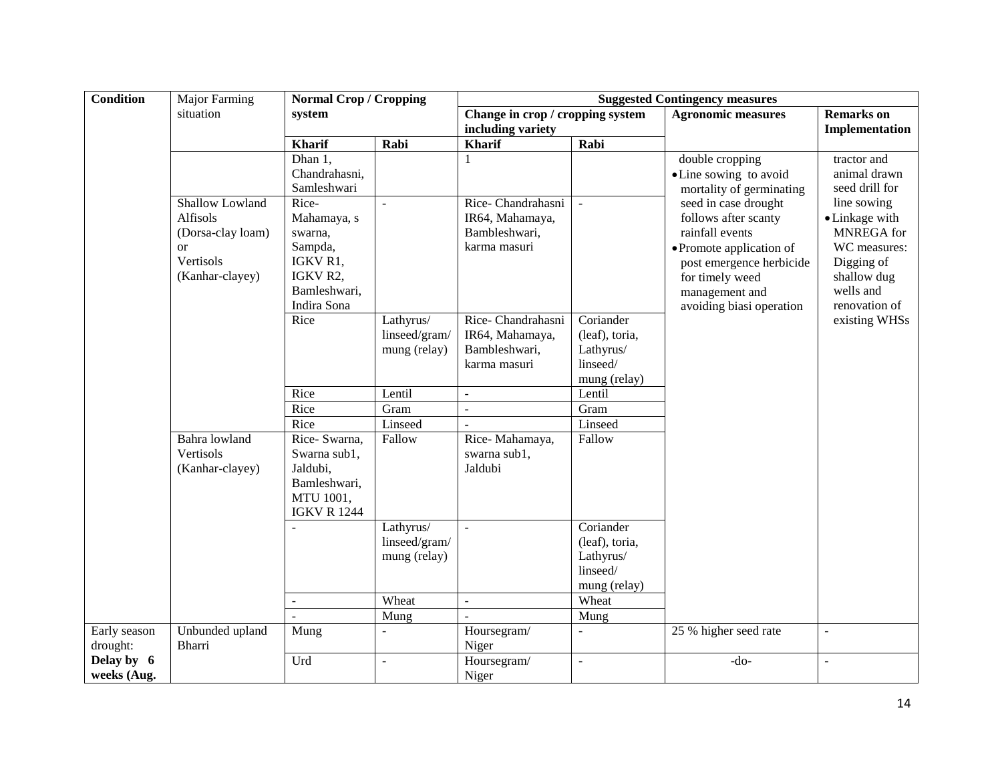| <b>Condition</b> | <b>Major Farming</b> | <b>Normal Crop / Cropping</b> |                | <b>Suggested Contingency measures</b> |                |                           |                   |
|------------------|----------------------|-------------------------------|----------------|---------------------------------------|----------------|---------------------------|-------------------|
|                  | situation            | system                        |                | Change in crop / cropping system      |                | <b>Agronomic measures</b> | <b>Remarks</b> on |
|                  |                      |                               |                | including variety                     |                |                           | Implementation    |
|                  |                      | <b>Kharif</b>                 | Rabi           | Kharif                                | Rabi           |                           |                   |
|                  |                      | $\overline{D}$ han 1,         |                |                                       |                | double cropping           | tractor and       |
|                  |                      | Chandrahasni,                 |                |                                       |                | • Line sowing to avoid    | animal drawn      |
|                  |                      | Samleshwari                   |                |                                       |                | mortality of germinating  | seed drill for    |
|                  | Shallow Lowland      | Rice-                         | $\equiv$       | Rice-Chandrahasni                     | $\mathbb{Z}^2$ | seed in case drought      | line sowing       |
|                  | Alfisols             | Mahamaya, s                   |                | IR64, Mahamaya,                       |                | follows after scanty      | • Linkage with    |
|                  | (Dorsa-clay loam)    | swarna,                       |                | Bambleshwari,                         |                | rainfall events           | MNREGA for        |
|                  | <b>or</b>            | Sampda,                       |                | karma masuri                          |                | • Promote application of  | WC measures:      |
|                  | Vertisols            | IGKV R1,                      |                |                                       |                | post emergence herbicide  | Digging of        |
|                  | (Kanhar-clayey)      | IGKV R2,                      |                |                                       |                | for timely weed           | shallow dug       |
|                  |                      | Bamleshwari,                  |                |                                       |                | management and            | wells and         |
|                  |                      | Indira Sona                   |                |                                       |                | avoiding biasi operation  | renovation of     |
|                  |                      | Rice                          | Lathyrus/      | Rice-Chandrahasni                     | Coriander      |                           | existing WHSs     |
|                  |                      |                               | linseed/gram/  | IR64, Mahamaya,                       | (leaf), toria, |                           |                   |
|                  |                      |                               | mung (relay)   | Bambleshwari,                         | Lathyrus/      |                           |                   |
|                  |                      |                               |                | karma masuri                          | linseed/       |                           |                   |
|                  |                      |                               |                |                                       | mung (relay)   |                           |                   |
|                  |                      | Rice                          | Lentil         | $\blacksquare$                        | Lentil         |                           |                   |
|                  |                      | Rice                          | Gram           | $\sim$                                | Gram           |                           |                   |
|                  |                      | Rice                          | Linseed        |                                       | Linseed        |                           |                   |
|                  | Bahra lowland        | Rice- Swarna,                 | Fallow         | Rice-Mahamaya,                        | Fallow         |                           |                   |
|                  | Vertisols            | Swarna sub1,                  |                | swarna sub1,                          |                |                           |                   |
|                  | (Kanhar-clayey)      | Jaldubi,                      |                | Jaldubi                               |                |                           |                   |
|                  |                      | Bamleshwari,                  |                |                                       |                |                           |                   |
|                  |                      | MTU 1001,                     |                |                                       |                |                           |                   |
|                  |                      | <b>IGKV R 1244</b>            |                |                                       |                |                           |                   |
|                  |                      |                               | Lathyrus/      | $\mathbf{r}$                          | Coriander      |                           |                   |
|                  |                      |                               | linseed/gram/  |                                       | (leaf), toria, |                           |                   |
|                  |                      |                               | mung (relay)   |                                       | Lathyrus/      |                           |                   |
|                  |                      |                               |                |                                       | linseed/       |                           |                   |
|                  |                      |                               |                |                                       | mung (relay)   |                           |                   |
|                  |                      | $\blacksquare$                | Wheat          | $\sim$                                | Wheat          |                           |                   |
|                  |                      |                               | Mung           |                                       | Mung           |                           |                   |
| Early season     | Unbunded upland      | Mung                          |                | Hoursegram/                           | $\overline{a}$ | 25 % higher seed rate     | $\overline{a}$    |
| drought:         | <b>Bharri</b>        |                               |                | Niger                                 |                |                           |                   |
| Delay by 6       |                      | Urd                           | $\blacksquare$ | Hoursegram/                           | $\overline{a}$ | $-do-$                    | $\overline{a}$    |
| weeks (Aug.      |                      |                               |                | Niger                                 |                |                           |                   |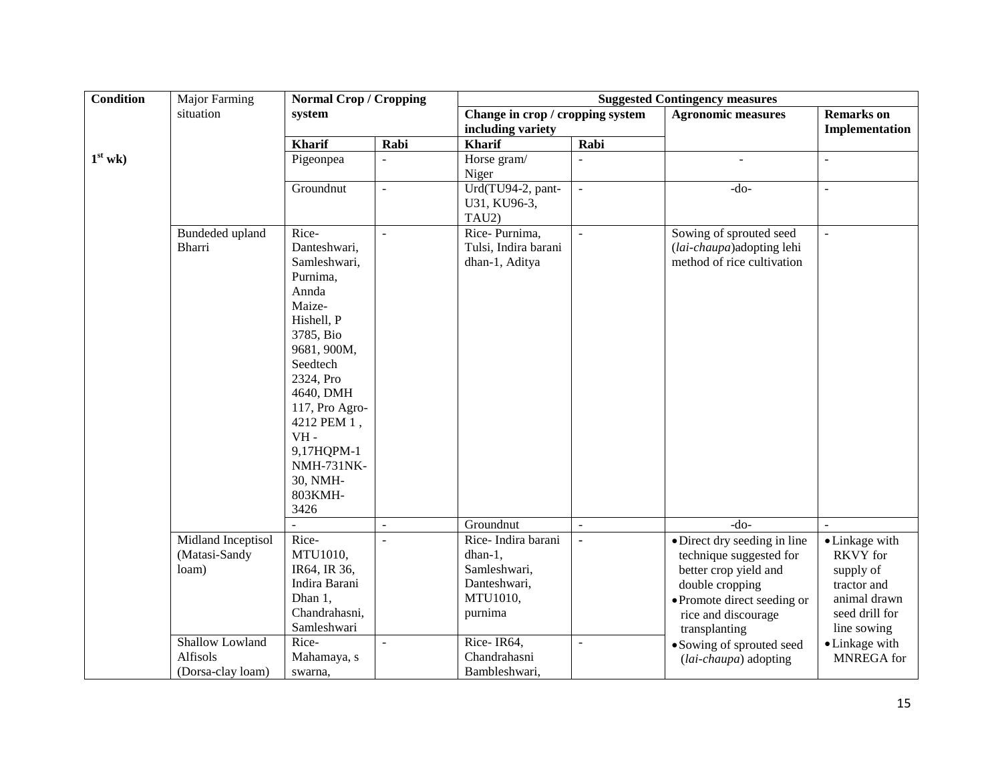| <b>Condition</b> | Major Farming                                    | <b>Normal Crop / Cropping</b>                                                                                                                                                                                                                                     |                | <b>Suggested Contingency measures</b>                                                |                          |                                                                                                                                                                            |                                                                                                                |
|------------------|--------------------------------------------------|-------------------------------------------------------------------------------------------------------------------------------------------------------------------------------------------------------------------------------------------------------------------|----------------|--------------------------------------------------------------------------------------|--------------------------|----------------------------------------------------------------------------------------------------------------------------------------------------------------------------|----------------------------------------------------------------------------------------------------------------|
|                  | situation                                        | system                                                                                                                                                                                                                                                            |                | Change in crop / cropping system<br>including variety                                |                          | <b>Agronomic measures</b>                                                                                                                                                  | <b>Remarks</b> on<br>Implementation                                                                            |
|                  |                                                  | <b>Kharif</b>                                                                                                                                                                                                                                                     | Rabi           | <b>Kharif</b>                                                                        | Rabi                     |                                                                                                                                                                            |                                                                                                                |
| $1st$ wk)        |                                                  | Pigeonpea                                                                                                                                                                                                                                                         |                | Horse gram/<br>Niger                                                                 |                          |                                                                                                                                                                            |                                                                                                                |
|                  |                                                  | Groundnut                                                                                                                                                                                                                                                         | $\mathbf{r}$   | Urd(TU94-2, pant-<br>U31, KU96-3,<br>TAU2)                                           | $\overline{\phantom{a}}$ | $-do-$                                                                                                                                                                     | $\overline{a}$                                                                                                 |
|                  | Bundeded upland<br>Bharri                        | Rice-<br>Danteshwari,<br>Samleshwari,<br>Purnima,<br>Annda<br>Maize-<br>Hishell, P<br>3785, Bio<br>9681, 900M,<br>Seedtech<br>2324, Pro<br>4640, DMH<br>117, Pro Agro-<br>4212 PEM 1,<br>$VH -$<br>9,17HQPM-1<br><b>NMH-731NK-</b><br>30, NMH-<br>803KMH-<br>3426 | $\blacksquare$ | Rice-Purnima,<br>Tulsi, Indira barani<br>dhan-1, Aditya                              | $\Box$                   | Sowing of sprouted seed<br>(lai-chaupa) adopting lehi<br>method of rice cultivation                                                                                        | $\Box$                                                                                                         |
|                  |                                                  |                                                                                                                                                                                                                                                                   | $\overline{a}$ | Groundnut                                                                            |                          | $-do-$                                                                                                                                                                     |                                                                                                                |
|                  | Midland Inceptisol<br>(Matasi-Sandy<br>loam)     | Rice-<br>MTU1010,<br>IR64, IR 36,<br>Indira Barani<br>Dhan 1,<br>Chandrahasni,<br>Samleshwari                                                                                                                                                                     |                | Rice-Indira barani<br>dhan-1,<br>Samleshwari,<br>Danteshwari,<br>MTU1010,<br>purnima | $\blacksquare$           | · Direct dry seeding in line<br>technique suggested for<br>better crop yield and<br>double cropping<br>• Promote direct seeding or<br>rice and discourage<br>transplanting | • Linkage with<br><b>RKVY</b> for<br>supply of<br>tractor and<br>animal drawn<br>seed drill for<br>line sowing |
|                  | Shallow Lowland<br>Alfisols<br>(Dorsa-clay loam) | Rice-<br>Mahamaya, s<br>swarna,                                                                                                                                                                                                                                   | $\mathbf{r}$   | Rice-IR64,<br>Chandrahasni<br>Bambleshwari.                                          | $\overline{\phantom{a}}$ | • Sowing of sprouted seed<br>(lai-chaupa) adopting                                                                                                                         | • Linkage with<br><b>MNREGA</b> for                                                                            |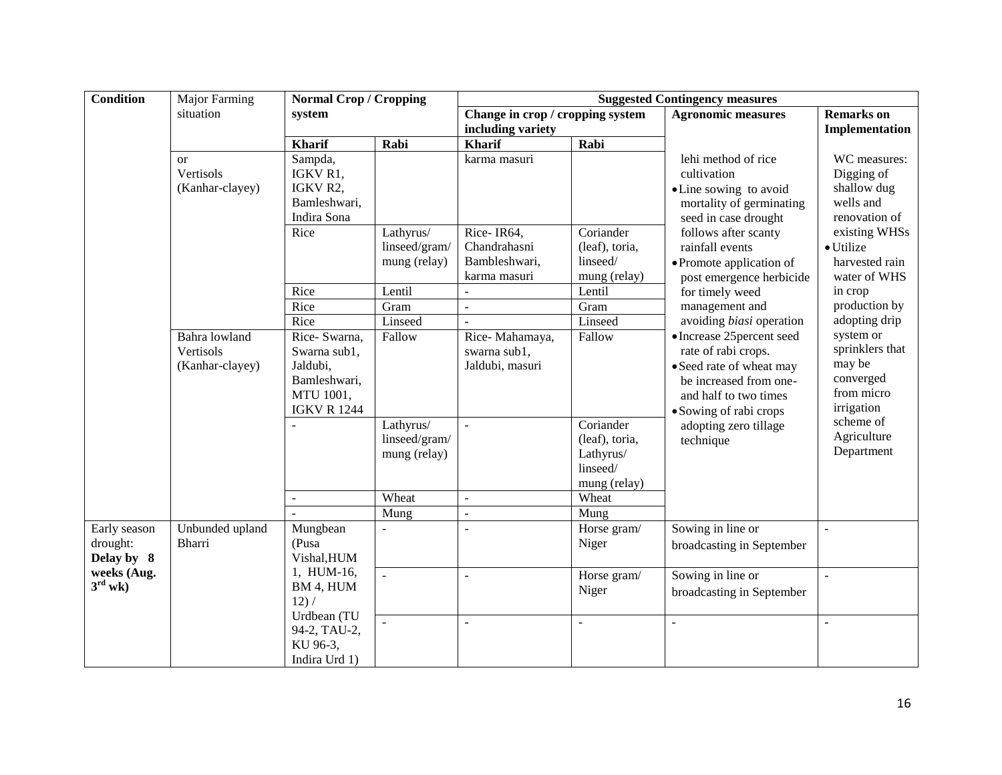| <b>Condition</b>                       | <b>Major Farming</b>                          | <b>Normal Crop / Cropping</b>                                                                                  |                                                                       | <b>Suggested Contingency measures</b>                                                             |                                                                                                                      |                                                                                                                                                                                                  |                                                                                                                           |
|----------------------------------------|-----------------------------------------------|----------------------------------------------------------------------------------------------------------------|-----------------------------------------------------------------------|---------------------------------------------------------------------------------------------------|----------------------------------------------------------------------------------------------------------------------|--------------------------------------------------------------------------------------------------------------------------------------------------------------------------------------------------|---------------------------------------------------------------------------------------------------------------------------|
|                                        | situation                                     | system                                                                                                         |                                                                       | Change in crop / cropping system<br>including variety                                             |                                                                                                                      | <b>Agronomic measures</b>                                                                                                                                                                        | <b>Remarks</b> on<br>Implementation                                                                                       |
|                                        |                                               | <b>Kharif</b>                                                                                                  | Rabi                                                                  | <b>Kharif</b>                                                                                     | Rabi                                                                                                                 |                                                                                                                                                                                                  |                                                                                                                           |
|                                        | <b>or</b><br>Vertisols<br>(Kanhar-clayey)     | Sampda,<br>IGKV R1,<br>IGKV R2,<br>Bamleshwari,                                                                |                                                                       | karma masuri                                                                                      |                                                                                                                      | lehi method of rice<br>cultivation<br>• Line sowing to avoid<br>mortality of germinating                                                                                                         | WC measures:<br>Digging of<br>shallow dug<br>wells and                                                                    |
|                                        |                                               | Indira Sona<br>Rice                                                                                            | Lathyrus/<br>linseed/gram/<br>mung (relay)                            | Rice-IR64,<br>Chandrahasni<br>Bambleshwari,<br>karma masuri                                       | Coriander<br>(leaf), toria,<br>linseed/<br>mung (relay)                                                              | seed in case drought<br>follows after scanty<br>rainfall events<br>• Promote application of<br>post emergence herbicide                                                                          | renovation of<br>existing WHSs<br>· Utilize<br>harvested rain<br>water of WHS                                             |
|                                        |                                               | Rice                                                                                                           | Lentil                                                                | $\overline{a}$                                                                                    | Lentil                                                                                                               | for timely weed                                                                                                                                                                                  | in crop                                                                                                                   |
|                                        |                                               | Rice                                                                                                           | Gram                                                                  | $\overline{a}$                                                                                    | Gram                                                                                                                 | management and                                                                                                                                                                                   | production by                                                                                                             |
|                                        |                                               | Rice                                                                                                           | Linseed                                                               | $\sim$                                                                                            | Linseed                                                                                                              | avoiding biasi operation                                                                                                                                                                         | adopting drip                                                                                                             |
|                                        | Bahra lowland<br>Vertisols<br>(Kanhar-clayey) | Rice- Swarna,<br>Swarna sub1,<br>Jaldubi,<br>Bamleshwari,<br>MTU 1001,<br><b>IGKV R 1244</b><br>$\blacksquare$ | Fallow<br>Lathyrus/<br>linseed/gram/<br>mung (relay)<br>Wheat<br>Mung | Rice-Mahamaya,<br>swarna sub1,<br>Jaldubi, masuri<br>$\mathbb{Z}^2$<br>$\equiv$<br>$\overline{a}$ | Fallow<br>$\overline{\text{C}}$ oriander<br>(leaf), toria,<br>Lathyrus/<br>linseed/<br>mung (relay)<br>Wheat<br>Mung | • Increase 25 percent seed<br>rate of rabi crops.<br>• Seed rate of wheat may<br>be increased from one-<br>and half to two times<br>• Sowing of rabi crops<br>adopting zero tillage<br>technique | system or<br>sprinklers that<br>may be<br>converged<br>from micro<br>irrigation<br>scheme of<br>Agriculture<br>Department |
| Early season<br>drought:<br>Delay by 8 | Unbunded upland<br><b>Bharri</b>              | Mungbean<br>(Pusa<br>Vishal, HUM                                                                               |                                                                       |                                                                                                   | Horse gram/<br>Niger                                                                                                 | Sowing in line or<br>broadcasting in September                                                                                                                                                   |                                                                                                                           |
| weeks (Aug.<br>$3^{\text{rd}}$ wk)     |                                               | 1, HUM-16,<br>BM 4, HUM<br>12) /                                                                               |                                                                       | $\overline{a}$                                                                                    | Horse gram/<br>Niger                                                                                                 | Sowing in line or<br>broadcasting in September                                                                                                                                                   |                                                                                                                           |
|                                        |                                               | Urdbean (TU<br>94-2, TAU-2,<br>KU 96-3,<br>Indira Urd 1)                                                       |                                                                       | $\overline{\phantom{a}}$                                                                          | $\overline{a}$                                                                                                       | $\overline{a}$                                                                                                                                                                                   | $\sim$                                                                                                                    |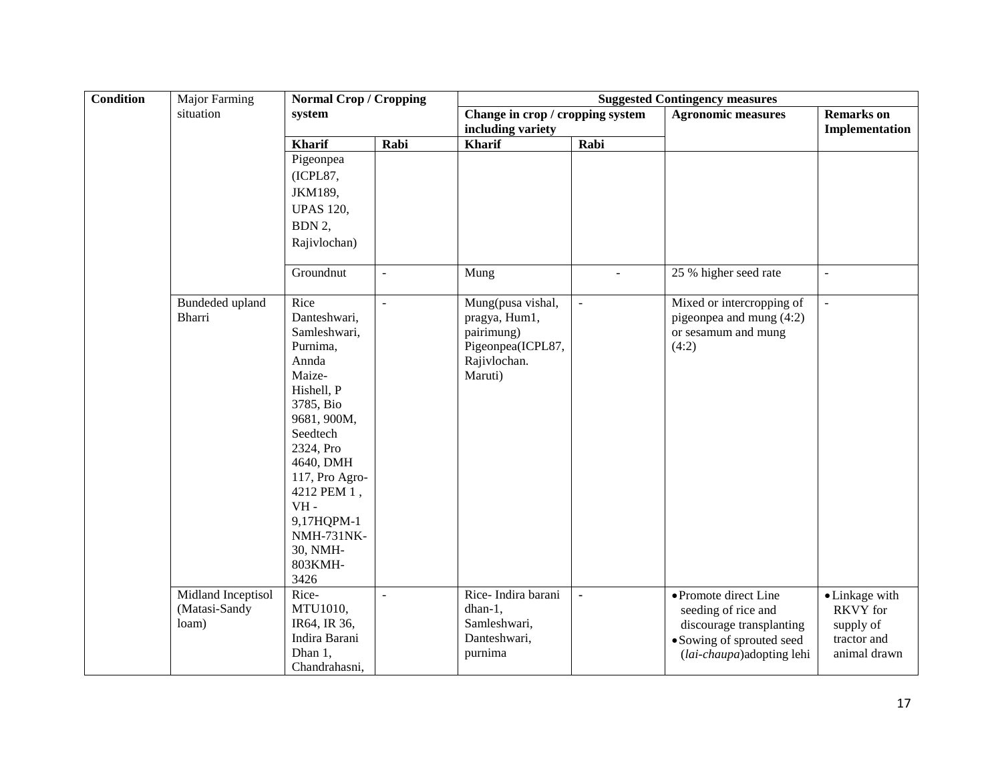| <b>Condition</b> | Major Farming                                | <b>Normal Crop / Cropping</b>                                                                                                                                                                                                                                    |                          | <b>Suggested Contingency measures</b>                                                            |                |                                                                                                                                     |                                                                        |  |
|------------------|----------------------------------------------|------------------------------------------------------------------------------------------------------------------------------------------------------------------------------------------------------------------------------------------------------------------|--------------------------|--------------------------------------------------------------------------------------------------|----------------|-------------------------------------------------------------------------------------------------------------------------------------|------------------------------------------------------------------------|--|
|                  | situation                                    | system                                                                                                                                                                                                                                                           |                          | Change in crop / cropping system<br>including variety                                            |                | <b>Agronomic measures</b>                                                                                                           | <b>Remarks</b> on<br>Implementation                                    |  |
|                  |                                              | <b>Kharif</b>                                                                                                                                                                                                                                                    | Rabi                     | <b>Kharif</b>                                                                                    | Rabi           |                                                                                                                                     |                                                                        |  |
|                  |                                              | Pigeonpea                                                                                                                                                                                                                                                        |                          |                                                                                                  |                |                                                                                                                                     |                                                                        |  |
|                  |                                              | (ICPL87,                                                                                                                                                                                                                                                         |                          |                                                                                                  |                |                                                                                                                                     |                                                                        |  |
|                  |                                              | JKM189,                                                                                                                                                                                                                                                          |                          |                                                                                                  |                |                                                                                                                                     |                                                                        |  |
|                  |                                              | <b>UPAS 120,</b>                                                                                                                                                                                                                                                 |                          |                                                                                                  |                |                                                                                                                                     |                                                                        |  |
|                  |                                              | BDN 2,                                                                                                                                                                                                                                                           |                          |                                                                                                  |                |                                                                                                                                     |                                                                        |  |
|                  |                                              | Rajivlochan)                                                                                                                                                                                                                                                     |                          |                                                                                                  |                |                                                                                                                                     |                                                                        |  |
|                  |                                              | Groundnut                                                                                                                                                                                                                                                        | $\overline{\phantom{a}}$ | Mung                                                                                             | $\sim$         | 25 % higher seed rate                                                                                                               | $\blacksquare$                                                         |  |
|                  | Bundeded upland<br>Bharri                    | Rice<br>Danteshwari,<br>Samleshwari,<br>Purnima,<br>Annda<br>Maize-<br>Hishell, P<br>3785, Bio<br>9681, 900M,<br>Seedtech<br>2324, Pro<br>4640, DMH<br>117, Pro Agro-<br>4212 PEM 1,<br>$VH -$<br>9,17HQPM-1<br><b>NMH-731NK-</b><br>30, NMH-<br>803KMH-<br>3426 | $\blacksquare$           | Mung(pusa vishal,<br>pragya, Hum1,<br>pairimung)<br>Pigeonpea(ICPL87,<br>Rajivlochan.<br>Maruti) | $\sim$         | Mixed or intercropping of<br>pigeonpea and mung (4:2)<br>or sesamum and mung<br>(4:2)                                               | $\overline{a}$                                                         |  |
|                  | Midland Inceptisol<br>(Matasi-Sandy<br>loam) | Rice-<br>MTU1010,<br>IR64, IR 36,<br>Indira Barani<br>Dhan 1,<br>Chandrahasni,                                                                                                                                                                                   | $\equiv$                 | Rice-Indira barani<br>dhan-1,<br>Samleshwari,<br>Danteshwari,<br>purnima                         | $\blacksquare$ | • Promote direct Line<br>seeding of rice and<br>discourage transplanting<br>• Sowing of sprouted seed<br>(lai-chaupa) adopting lehi | • Linkage with<br>RKVY for<br>supply of<br>tractor and<br>animal drawn |  |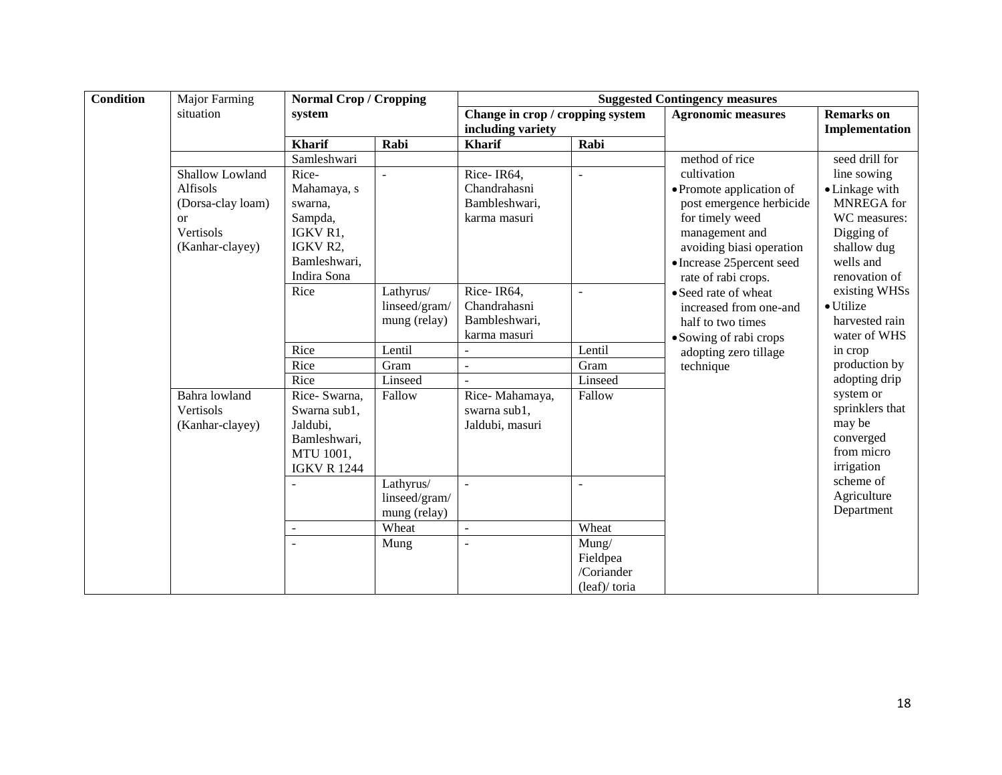| <b>Condition</b> | <b>Major Farming</b>        | <b>Normal Crop / Cropping</b>   |               | <b>Suggested Contingency measures</b>                 |                 |                                                   |                                     |
|------------------|-----------------------------|---------------------------------|---------------|-------------------------------------------------------|-----------------|---------------------------------------------------|-------------------------------------|
|                  | situation                   | system                          |               | Change in crop / cropping system<br>including variety |                 | <b>Agronomic measures</b>                         | <b>Remarks</b> on<br>Implementation |
|                  |                             | <b>Kharif</b>                   | Rabi          | <b>Kharif</b>                                         | Rabi            |                                                   |                                     |
|                  |                             | Samleshwari                     |               |                                                       |                 | method of rice                                    | seed drill for                      |
|                  | Shallow Lowland<br>Alfisols | Rice-<br>Mahamaya, s            | ÷,            | Rice-IR64,<br>Chandrahasni                            | $\overline{a}$  | cultivation<br>• Promote application of           | line sowing<br>• Linkage with       |
|                  | (Dorsa-clay loam)           | swarna.                         |               | Bambleshwari,                                         |                 | post emergence herbicide                          | <b>MNREGA</b> for                   |
|                  | $\alpha$<br>Vertisols       | Sampda,<br>IGKV R <sub>1</sub>  |               | karma masuri                                          |                 | for timely weed<br>management and                 | WC measures:<br>Digging of          |
|                  | (Kanhar-clayey)             | IGKV R2,                        |               |                                                       |                 | avoiding biasi operation                          | shallow dug                         |
|                  |                             | Bamleshwari,<br>Indira Sona     |               |                                                       |                 | • Increase 25 percent seed<br>rate of rabi crops. | wells and<br>renovation of          |
|                  |                             | Rice                            | Lathyrus/     | Rice-IR64,                                            | $\overline{a}$  | • Seed rate of wheat                              | existing WHSs                       |
|                  |                             |                                 | linseed/gram/ | Chandrahasni                                          |                 | increased from one-and                            | • Utilize                           |
|                  |                             |                                 | mung (relay)  | Bambleshwari,                                         |                 | half to two times                                 | harvested rain                      |
|                  |                             |                                 |               | karma masuri                                          |                 | • Sowing of rabi crops                            | water of WHS                        |
|                  |                             | Rice                            | Lentil        |                                                       | Lentil          | adopting zero tillage                             | in crop                             |
|                  |                             | Rice                            | Gram          | $\sim$                                                | Gram            | technique                                         | production by                       |
|                  |                             | Rice                            | Linseed       |                                                       | Linseed         |                                                   | adopting drip                       |
|                  | Bahra lowland               | Rice- Swarna,                   | Fallow        | Rice-Mahamaya,                                        | Fallow          |                                                   | system or                           |
|                  | Vertisols                   | Swarna sub1,                    |               | swarna sub1,                                          |                 |                                                   | sprinklers that<br>may be           |
|                  | (Kanhar-clayey)             | Jaldubi,                        |               | Jaldubi, masuri                                       |                 |                                                   | converged                           |
|                  |                             | Bamleshwari,                    |               |                                                       |                 |                                                   | from micro                          |
|                  |                             | MTU 1001,<br><b>IGKV R 1244</b> |               |                                                       |                 |                                                   | irrigation                          |
|                  |                             |                                 | Lathyrus/     | $\overline{a}$                                        | $\sim$          |                                                   | scheme of                           |
|                  |                             |                                 | linseed/gram/ |                                                       |                 |                                                   | Agriculture                         |
|                  |                             |                                 | mung (relay)  |                                                       |                 |                                                   | Department                          |
|                  |                             |                                 | Wheat         |                                                       | Wheat           |                                                   |                                     |
|                  |                             |                                 | Mung          |                                                       | Mung/           |                                                   |                                     |
|                  |                             |                                 |               |                                                       | Fieldpea        |                                                   |                                     |
|                  |                             |                                 |               |                                                       | /Coriander      |                                                   |                                     |
|                  |                             |                                 |               |                                                       | $(leaf)/$ toria |                                                   |                                     |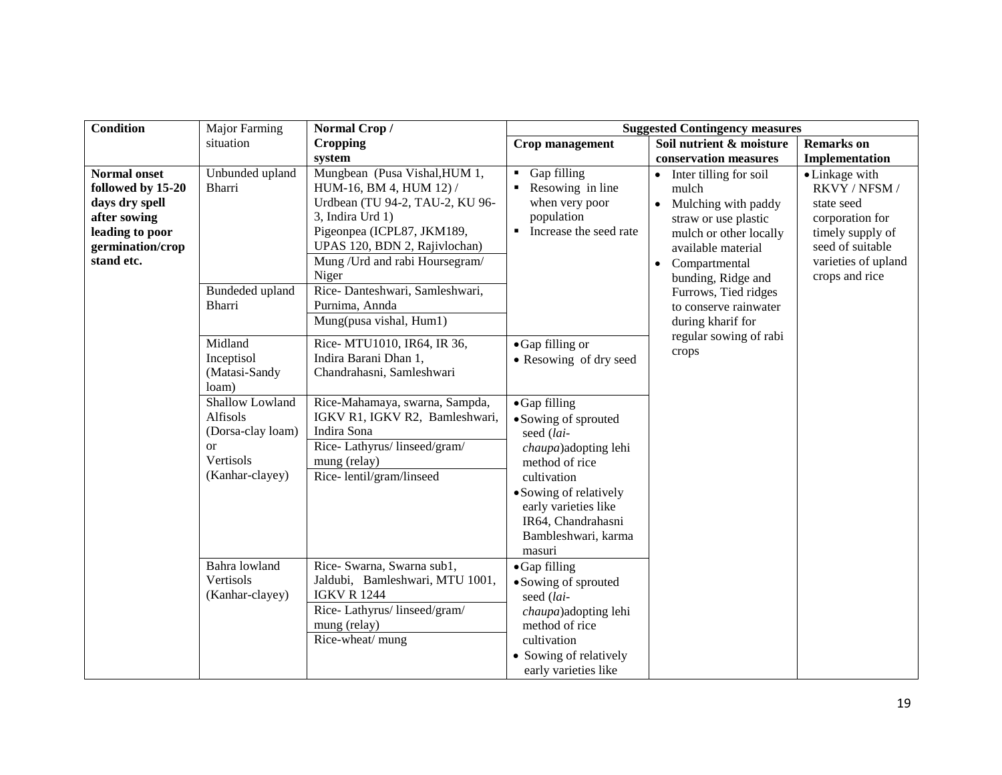| Condition                                                                                                                       | <b>Major Farming</b>                                                                   | Normal Crop/                                                                                                                                                                                                                                                                                              | <b>Suggested Contingency measures</b>                                                                                                                                                                                 |                                                                                                                                                                                                                                                                                |                                                                                                                                                   |
|---------------------------------------------------------------------------------------------------------------------------------|----------------------------------------------------------------------------------------|-----------------------------------------------------------------------------------------------------------------------------------------------------------------------------------------------------------------------------------------------------------------------------------------------------------|-----------------------------------------------------------------------------------------------------------------------------------------------------------------------------------------------------------------------|--------------------------------------------------------------------------------------------------------------------------------------------------------------------------------------------------------------------------------------------------------------------------------|---------------------------------------------------------------------------------------------------------------------------------------------------|
|                                                                                                                                 | situation                                                                              | <b>Cropping</b>                                                                                                                                                                                                                                                                                           | <b>Crop management</b>                                                                                                                                                                                                | Soil nutrient & moisture                                                                                                                                                                                                                                                       | <b>Remarks</b> on                                                                                                                                 |
|                                                                                                                                 |                                                                                        | system                                                                                                                                                                                                                                                                                                    |                                                                                                                                                                                                                       | conservation measures                                                                                                                                                                                                                                                          | Implementation                                                                                                                                    |
| <b>Normal onset</b><br>followed by 15-20<br>days dry spell<br>after sowing<br>leading to poor<br>germination/crop<br>stand etc. | Unbunded upland<br>Bharri<br>Bundeded upland<br>Bharri                                 | Mungbean (Pusa Vishal, HUM 1,<br>HUM-16, BM 4, HUM 12) /<br>Urdbean (TU 94-2, TAU-2, KU 96-<br>3, Indira Urd 1)<br>Pigeonpea (ICPL87, JKM189,<br>UPAS 120, BDN 2, Rajivlochan)<br>Mung / Urd and rabi Hoursegram/<br>Niger<br>Rice-Danteshwari, Samleshwari,<br>Purnima, Annda<br>Mung(pusa vishal, Hum1) | • Gap filling<br>Resowing in line<br>when very poor<br>population<br>Increase the seed rate                                                                                                                           | mulch<br>Mulching with paddy<br>$\bullet$<br>straw or use plastic<br>mulch or other locally<br>available material<br>Compartmental<br>$\bullet$<br>bunding, Ridge and<br>Furrows, Tied ridges<br>to conserve rainwater<br>during kharif for<br>regular sowing of rabi<br>crops | • Linkage with<br>RKVY / NFSM /<br>state seed<br>corporation for<br>timely supply of<br>seed of suitable<br>varieties of upland<br>crops and rice |
|                                                                                                                                 | Midland<br>Inceptisol<br>(Matasi-Sandy<br>loam)                                        | Rice- MTU1010, IR64, IR 36,<br>Indira Barani Dhan 1,<br>Chandrahasni, Samleshwari                                                                                                                                                                                                                         | • Gap filling or<br>• Resowing of dry seed                                                                                                                                                                            |                                                                                                                                                                                                                                                                                |                                                                                                                                                   |
|                                                                                                                                 | Shallow Lowland<br>Alfisols<br>(Dorsa-clay loam)<br>or<br>Vertisols<br>(Kanhar-clayey) | Rice-Mahamaya, swarna, Sampda,<br>IGKV R1, IGKV R2, Bamleshwari,<br>Indira Sona<br>Rice-Lathyrus/linseed/gram/<br>mung (relay)<br>Rice-lentil/gram/linseed                                                                                                                                                | • Gap filling<br>• Sowing of sprouted<br>seed (lai-<br>chaupa)adopting lehi<br>method of rice<br>cultivation<br>• Sowing of relatively<br>early varieties like<br>IR64, Chandrahasni<br>Bambleshwari, karma<br>masuri |                                                                                                                                                                                                                                                                                |                                                                                                                                                   |
|                                                                                                                                 | Bahra lowland<br>Vertisols<br>(Kanhar-clayey)                                          | Rice- Swarna, Swarna sub1,<br>Jaldubi, Bamleshwari, MTU 1001,<br><b>IGKV R 1244</b><br>Rice-Lathyrus/linseed/gram/<br>mung (relay)<br>Rice-wheat/ mung                                                                                                                                                    | • Gap filling<br>• Sowing of sprouted<br>seed (lai-<br><i>chaupa</i> ) adopting lehi<br>method of rice<br>cultivation<br>• Sowing of relatively<br>early varieties like                                               |                                                                                                                                                                                                                                                                                |                                                                                                                                                   |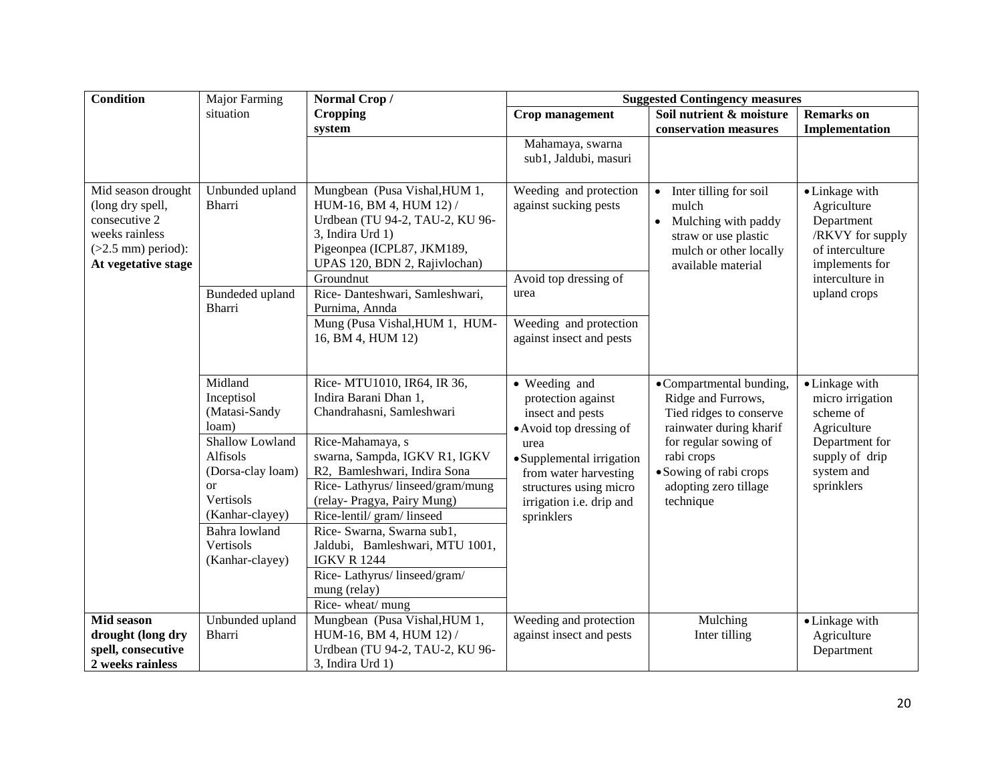| <b>Condition</b>                                                                                                         | <b>Major Farming</b>                                                                              | Normal Crop/                                                                                                                                                                                | <b>Suggested Contingency measures</b>                                                                            |                                                                                                                                |                                                                                                                         |  |  |
|--------------------------------------------------------------------------------------------------------------------------|---------------------------------------------------------------------------------------------------|---------------------------------------------------------------------------------------------------------------------------------------------------------------------------------------------|------------------------------------------------------------------------------------------------------------------|--------------------------------------------------------------------------------------------------------------------------------|-------------------------------------------------------------------------------------------------------------------------|--|--|
|                                                                                                                          | situation                                                                                         | <b>Cropping</b>                                                                                                                                                                             | Crop management                                                                                                  | Soil nutrient & moisture                                                                                                       | <b>Remarks</b> on                                                                                                       |  |  |
|                                                                                                                          |                                                                                                   | system                                                                                                                                                                                      |                                                                                                                  | conservation measures                                                                                                          | Implementation                                                                                                          |  |  |
|                                                                                                                          |                                                                                                   |                                                                                                                                                                                             | Mahamaya, swarna<br>sub1, Jaldubi, masuri                                                                        |                                                                                                                                |                                                                                                                         |  |  |
| Mid season drought<br>(long dry spell,<br>consecutive 2<br>weeks rainless<br>$(>2.5$ mm) period):<br>At vegetative stage | Unbunded upland<br>Bharri                                                                         | Mungbean (Pusa Vishal, HUM 1,<br>HUM-16, BM 4, HUM 12) /<br>Urdbean (TU 94-2, TAU-2, KU 96-<br>3, Indira Urd 1)<br>Pigeonpea (ICPL87, JKM189,<br>UPAS 120, BDN 2, Rajivlochan)<br>Groundnut | Weeding and protection<br>against sucking pests<br>Avoid top dressing of                                         | Inter tilling for soil<br>mulch<br>Mulching with paddy<br>straw or use plastic<br>mulch or other locally<br>available material | • Linkage with<br>Agriculture<br>Department<br>/RKVY for supply<br>of interculture<br>implements for<br>interculture in |  |  |
|                                                                                                                          | Bundeded upland<br>Bharri                                                                         | Rice-Danteshwari, Samleshwari,<br>Purnima, Annda                                                                                                                                            | urea                                                                                                             |                                                                                                                                | upland crops                                                                                                            |  |  |
|                                                                                                                          |                                                                                                   | Mung (Pusa Vishal, HUM 1, HUM-<br>16, BM 4, HUM 12)                                                                                                                                         | Weeding and protection<br>against insect and pests                                                               |                                                                                                                                |                                                                                                                         |  |  |
|                                                                                                                          | Midland<br>Inceptisol<br>(Matasi-Sandy<br>loam)                                                   | Rice- MTU1010, IR64, IR 36,<br>Indira Barani Dhan 1,<br>Chandrahasni, Samleshwari                                                                                                           | • Weeding and<br>protection against<br>insect and pests<br>• Avoid top dressing of                               | •Compartmental bunding,<br>Ridge and Furrows,<br>Tied ridges to conserve<br>rainwater during kharif                            | • Linkage with<br>micro irrigation<br>scheme of<br>Agriculture                                                          |  |  |
|                                                                                                                          | Shallow Lowland<br>Alfisols<br>(Dorsa-clay loam)<br><sub>or</sub><br>Vertisols<br>(Kanhar-clayey) | Rice-Mahamaya, s<br>swarna, Sampda, IGKV R1, IGKV<br>R2, Bamleshwari, Indira Sona<br>Rice-Lathyrus/linseed/gram/mung<br>(relay-Pragya, Pairy Mung)<br>Rice-lentil/ gram/ linseed            | urea<br>• Supplemental irrigation<br>from water harvesting<br>structures using micro<br>irrigation i.e. drip and | for regular sowing of<br>rabi crops<br>• Sowing of rabi crops<br>adopting zero tillage<br>technique                            | Department for<br>supply of drip<br>system and<br>sprinklers                                                            |  |  |
|                                                                                                                          | Bahra lowland<br>Vertisols<br>(Kanhar-clayey)                                                     | Rice- Swarna, Swarna sub1,<br>Jaldubi, Bamleshwari, MTU 1001,<br><b>IGKV R 1244</b>                                                                                                         | sprinklers                                                                                                       |                                                                                                                                |                                                                                                                         |  |  |
|                                                                                                                          |                                                                                                   | Rice-Lathyrus/linseed/gram/<br>mung (relay)<br>Rice-wheat/mung                                                                                                                              |                                                                                                                  |                                                                                                                                |                                                                                                                         |  |  |
| <b>Mid season</b>                                                                                                        | Unbunded upland                                                                                   | Mungbean (Pusa Vishal, HUM 1,                                                                                                                                                               | Weeding and protection                                                                                           | Mulching                                                                                                                       | • Linkage with                                                                                                          |  |  |
| drought (long dry                                                                                                        | Bharri                                                                                            | HUM-16, BM 4, HUM 12) /                                                                                                                                                                     | against insect and pests                                                                                         | Inter tilling                                                                                                                  | Agriculture                                                                                                             |  |  |
| spell, consecutive                                                                                                       |                                                                                                   | Urdbean (TU 94-2, TAU-2, KU 96-                                                                                                                                                             |                                                                                                                  |                                                                                                                                | Department                                                                                                              |  |  |
| 2 weeks rainless                                                                                                         |                                                                                                   | 3, Indira Urd 1)                                                                                                                                                                            |                                                                                                                  |                                                                                                                                |                                                                                                                         |  |  |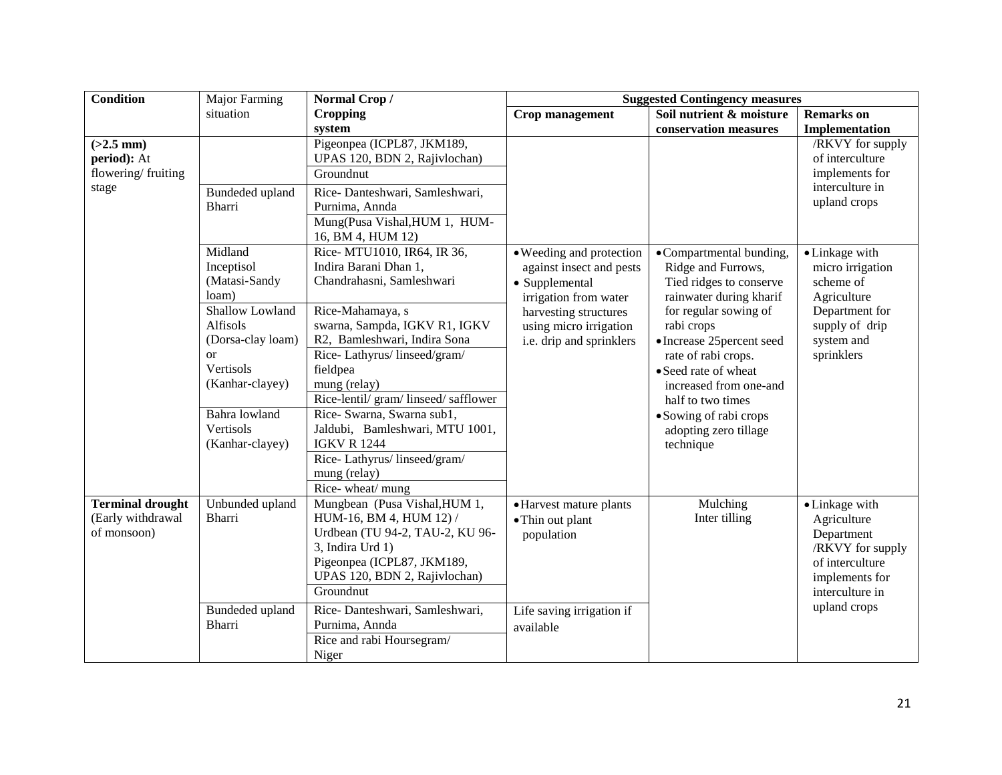| <b>Condition</b>                                            | Major Farming                                                                                                                                  | Normal Crop/                                                                                                                                                                                                                                                                                                | <b>Suggested Contingency measures</b>                                                           |                                                                                                                                                                                                                                 |                                                                                                                         |
|-------------------------------------------------------------|------------------------------------------------------------------------------------------------------------------------------------------------|-------------------------------------------------------------------------------------------------------------------------------------------------------------------------------------------------------------------------------------------------------------------------------------------------------------|-------------------------------------------------------------------------------------------------|---------------------------------------------------------------------------------------------------------------------------------------------------------------------------------------------------------------------------------|-------------------------------------------------------------------------------------------------------------------------|
|                                                             | situation                                                                                                                                      | <b>Cropping</b>                                                                                                                                                                                                                                                                                             | Crop management                                                                                 | Soil nutrient & moisture                                                                                                                                                                                                        | <b>Remarks</b> on                                                                                                       |
|                                                             |                                                                                                                                                | system                                                                                                                                                                                                                                                                                                      |                                                                                                 | conservation measures                                                                                                                                                                                                           | Implementation                                                                                                          |
| $(>2.5$ mm)<br>period): At<br>flowering/fruiting            |                                                                                                                                                | Pigeonpea (ICPL87, JKM189,<br>UPAS 120, BDN 2, Rajivlochan)<br>Groundnut                                                                                                                                                                                                                                    |                                                                                                 |                                                                                                                                                                                                                                 | /RKVY for supply<br>of interculture<br>implements for                                                                   |
| stage                                                       | Bundeded upland<br>Bharri                                                                                                                      | Rice-Danteshwari, Samleshwari,<br>Purnima, Annda<br>Mung(Pusa Vishal, HUM 1, HUM-<br>16, BM 4, HUM 12)                                                                                                                                                                                                      |                                                                                                 |                                                                                                                                                                                                                                 | interculture in<br>upland crops                                                                                         |
|                                                             | Midland<br>Inceptisol<br>(Matasi-Sandy<br>loam)                                                                                                | Rice- MTU1010, IR64, IR 36,<br>Indira Barani Dhan 1,<br>Chandrahasni, Samleshwari                                                                                                                                                                                                                           | • Weeding and protection<br>against insect and pests<br>• Supplemental<br>irrigation from water | • Compartmental bunding,<br>Ridge and Furrows,<br>Tied ridges to conserve<br>rainwater during kharif                                                                                                                            | • Linkage with<br>micro irrigation<br>scheme of<br>Agriculture                                                          |
|                                                             | Shallow Lowland<br>Alfisols<br>(Dorsa-clay loam)<br><b>or</b><br>Vertisols<br>(Kanhar-clayey)<br>Bahra lowland<br>Vertisols<br>(Kanhar-clayey) | Rice-Mahamaya, s<br>swarna, Sampda, IGKV R1, IGKV<br>R2, Bamleshwari, Indira Sona<br>Rice-Lathyrus/linseed/gram/<br>fieldpea<br>mung (relay)<br>Rice-lentil/ gram/ linseed/ safflower<br>Rice- Swarna, Swarna sub1,<br>Jaldubi, Bamleshwari, MTU 1001,<br><b>IGKV R 1244</b><br>Rice-Lathyrus/linseed/gram/ | harvesting structures<br>using micro irrigation<br>i.e. drip and sprinklers                     | for regular sowing of<br>rabi crops<br>• Increase 25 percent seed<br>rate of rabi crops.<br>• Seed rate of wheat<br>increased from one-and<br>half to two times<br>• Sowing of rabi crops<br>adopting zero tillage<br>technique | Department for<br>supply of drip<br>system and<br>sprinklers                                                            |
|                                                             |                                                                                                                                                | mung (relay)<br>Rice-wheat/mung                                                                                                                                                                                                                                                                             |                                                                                                 |                                                                                                                                                                                                                                 |                                                                                                                         |
| <b>Terminal drought</b><br>(Early withdrawal<br>of monsoon) | Unbunded upland<br>Bharri                                                                                                                      | Mungbean (Pusa Vishal, HUM 1,<br>HUM-16, BM 4, HUM 12) /<br>Urdbean (TU 94-2, TAU-2, KU 96-<br>3, Indira Urd 1)<br>Pigeonpea (ICPL87, JKM189,<br>UPAS 120, BDN 2, Rajivlochan)<br>Groundnut                                                                                                                 | • Harvest mature plants<br>• Thin out plant<br>population                                       | Mulching<br>Inter tilling                                                                                                                                                                                                       | • Linkage with<br>Agriculture<br>Department<br>/RKVY for supply<br>of interculture<br>implements for<br>interculture in |
|                                                             | Bundeded upland<br>Bharri                                                                                                                      | Rice-Danteshwari, Samleshwari,<br>Purnima, Annda<br>Rice and rabi Hoursegram/<br>Niger                                                                                                                                                                                                                      | Life saving irrigation if<br>available                                                          |                                                                                                                                                                                                                                 | upland crops                                                                                                            |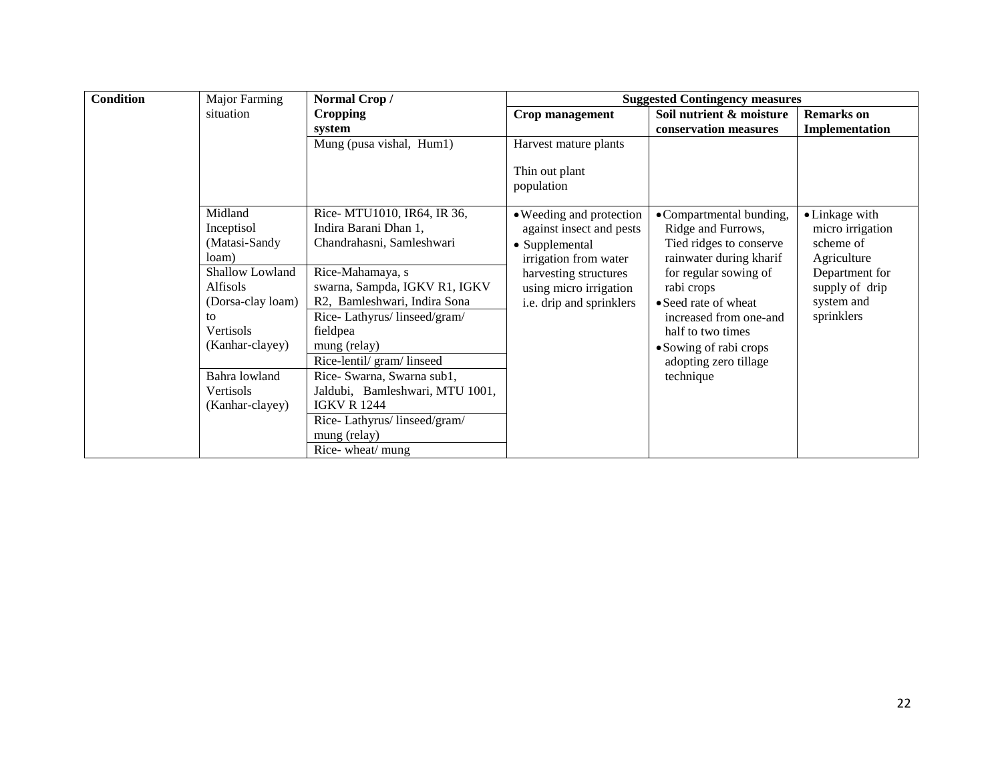| <b>Condition</b> | Major Farming<br>Normal Crop/<br><b>Suggested Contingency measures</b>                                 |                                                                                                                                                                            |                                                                                                      |                                                                                                                                                               |                                                                             |
|------------------|--------------------------------------------------------------------------------------------------------|----------------------------------------------------------------------------------------------------------------------------------------------------------------------------|------------------------------------------------------------------------------------------------------|---------------------------------------------------------------------------------------------------------------------------------------------------------------|-----------------------------------------------------------------------------|
|                  | situation                                                                                              | <b>Cropping</b>                                                                                                                                                            | Crop management                                                                                      | Soil nutrient & moisture                                                                                                                                      | <b>Remarks</b> on                                                           |
|                  |                                                                                                        | system                                                                                                                                                                     |                                                                                                      | conservation measures                                                                                                                                         | Implementation                                                              |
|                  |                                                                                                        | Mung (pusa vishal, Hum1)                                                                                                                                                   | Harvest mature plants                                                                                |                                                                                                                                                               |                                                                             |
|                  |                                                                                                        |                                                                                                                                                                            | Thin out plant<br>population                                                                         |                                                                                                                                                               |                                                                             |
|                  | Midland<br>Inceptisol<br>(Matasi-Sandy                                                                 | Rice- MTU1010, IR64, IR 36,<br>Indira Barani Dhan 1,<br>Chandrahasni, Samleshwari                                                                                          | • Weeding and protection<br>against insect and pests<br>• Supplemental                               | • Compartmental bunding,<br>Ridge and Furrows,<br>Tied ridges to conserve<br>rainwater during kharif                                                          | • Linkage with<br>micro irrigation<br>scheme of                             |
|                  | loam)<br>Shallow Lowland<br><b>Alfisols</b><br>(Dorsa-clay loam)<br>to<br>Vertisols<br>(Kanhar-clayey) | Rice-Mahamaya, s<br>swarna, Sampda, IGKV R1, IGKV<br>R2, Bamleshwari, Indira Sona<br>Rice-Lathyrus/linseed/gram/<br>fieldpea<br>mung (relay)<br>Rice-lentil/ gram/ linseed | irrigation from water<br>harvesting structures<br>using micro irrigation<br>i.e. drip and sprinklers | for regular sowing of<br>rabi crops<br>• Seed rate of wheat<br>increased from one-and<br>half to two times<br>• Sowing of rabi crops<br>adopting zero tillage | Agriculture<br>Department for<br>supply of drip<br>system and<br>sprinklers |
|                  | Bahra lowland<br>Vertisols<br>(Kanhar-clayey)                                                          | Rice- Swarna, Swarna sub1,<br>Jaldubi, Bamleshwari, MTU 1001,<br><b>IGKV R 1244</b><br>Rice-Lathyrus/linseed/gram/<br>mung (relay)<br>Rice-wheat/mung                      |                                                                                                      | technique                                                                                                                                                     |                                                                             |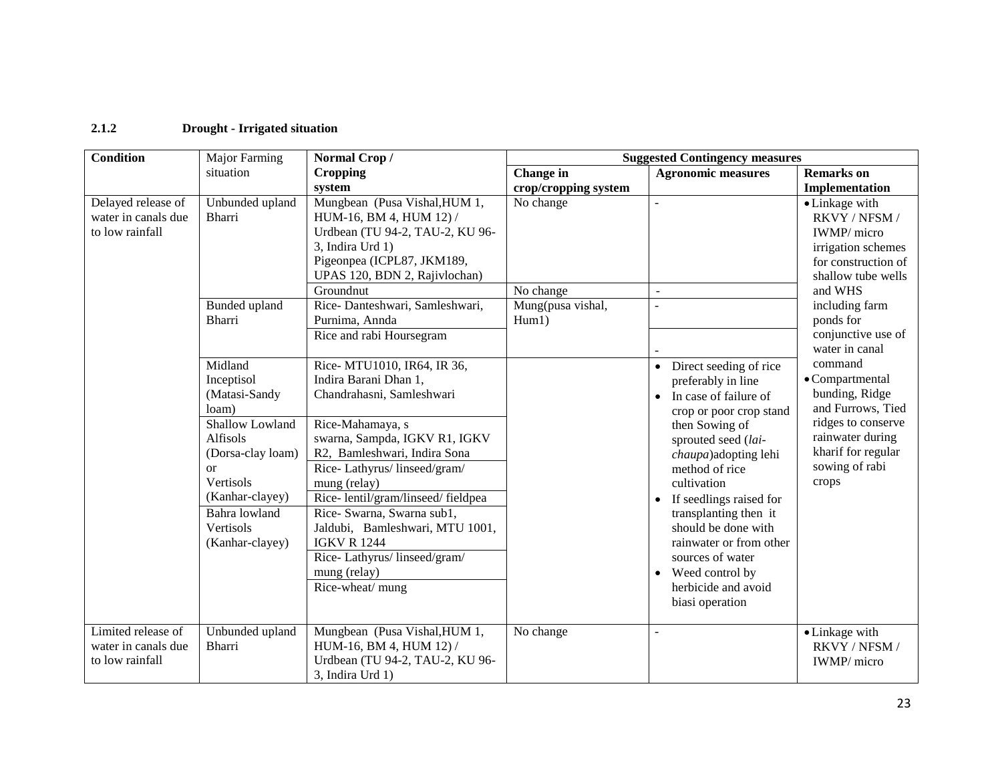## **2.1.2 Drought - Irrigated situation**

| <b>Condition</b>    | Major Farming     | Normal Crop/                      | <b>Suggested Contingency measures</b> |                                     |                         |  |
|---------------------|-------------------|-----------------------------------|---------------------------------------|-------------------------------------|-------------------------|--|
|                     | situation         | <b>Cropping</b>                   | Change in                             | <b>Agronomic measures</b>           | <b>Remarks</b> on       |  |
|                     |                   | system                            | crop/cropping system                  |                                     | Implementation          |  |
| Delayed release of  | Unbunded upland   | Mungbean (Pusa Vishal, HUM 1,     | No change                             |                                     | • Linkage with          |  |
| water in canals due | <b>Bharri</b>     | HUM-16, BM 4, HUM 12) /           |                                       |                                     | RKVY / NFSM /           |  |
| to low rainfall     |                   | Urdbean (TU 94-2, TAU-2, KU 96-   |                                       |                                     | IWMP/ micro             |  |
|                     |                   | 3, Indira Urd 1)                  |                                       |                                     | irrigation schemes      |  |
|                     |                   | Pigeonpea (ICPL87, JKM189,        |                                       |                                     | for construction of     |  |
|                     |                   | UPAS 120, BDN 2, Rajivlochan)     |                                       |                                     | shallow tube wells      |  |
|                     |                   | Groundnut                         | No change                             |                                     | and WHS                 |  |
|                     | Bunded upland     | Rice-Danteshwari, Samleshwari,    | Mung(pusa vishal,                     |                                     | including farm          |  |
|                     | Bharri            | Purnima, Annda                    | Hum1)                                 |                                     | ponds for               |  |
|                     |                   | Rice and rabi Hoursegram          |                                       |                                     | conjunctive use of      |  |
|                     |                   |                                   |                                       |                                     | water in canal          |  |
|                     | Midland           | Rice- MTU1010, IR64, IR 36,       |                                       | Direct seeding of rice<br>$\bullet$ | command                 |  |
|                     | Inceptisol        | Indira Barani Dhan 1,             |                                       | preferably in line                  | $\bullet$ Compartmental |  |
|                     | (Matasi-Sandy     | Chandrahasni, Samleshwari         |                                       | In case of failure of<br>$\bullet$  | bunding, Ridge          |  |
|                     | loam)             |                                   |                                       | crop or poor crop stand             | and Furrows, Tied       |  |
|                     | Shallow Lowland   | Rice-Mahamaya, s                  |                                       | then Sowing of                      | ridges to conserve      |  |
|                     | Alfisols          | swarna, Sampda, IGKV R1, IGKV     |                                       | sprouted seed (lai-                 | rainwater during        |  |
|                     | (Dorsa-clay loam) | R2, Bamleshwari, Indira Sona      |                                       | chaupa) adopting lehi               | kharif for regular      |  |
|                     | or                | Rice-Lathyrus/linseed/gram/       |                                       | method of rice                      | sowing of rabi          |  |
|                     | Vertisols         | mung (relay)                      |                                       | cultivation                         | crops                   |  |
|                     | (Kanhar-clayey)   | Rice-lentil/gram/linseed/fieldpea |                                       | If seedlings raised for             |                         |  |
|                     | Bahra lowland     | Rice- Swarna, Swarna sub1,        |                                       | transplanting then it               |                         |  |
|                     | Vertisols         | Jaldubi, Bamleshwari, MTU 1001,   |                                       | should be done with                 |                         |  |
|                     | (Kanhar-clayey)   | <b>IGKV R 1244</b>                |                                       | rainwater or from other             |                         |  |
|                     |                   | Rice-Lathyrus/linseed/gram/       |                                       | sources of water                    |                         |  |
|                     |                   | mung (relay)                      |                                       | • Weed control by                   |                         |  |
|                     |                   | Rice-wheat/mung                   |                                       | herbicide and avoid                 |                         |  |
|                     |                   |                                   |                                       | biasi operation                     |                         |  |
|                     |                   |                                   |                                       |                                     |                         |  |
| Limited release of  | Unbunded upland   | Mungbean (Pusa Vishal, HUM 1,     | No change                             |                                     | • Linkage with          |  |
| water in canals due | <b>Bharri</b>     | HUM-16, BM 4, HUM 12) /           |                                       |                                     | RKVY / NFSM /           |  |
| to low rainfall     |                   | Urdbean (TU 94-2, TAU-2, KU 96-   |                                       |                                     | IWMP/ micro             |  |
|                     |                   | 3, Indira Urd 1)                  |                                       |                                     |                         |  |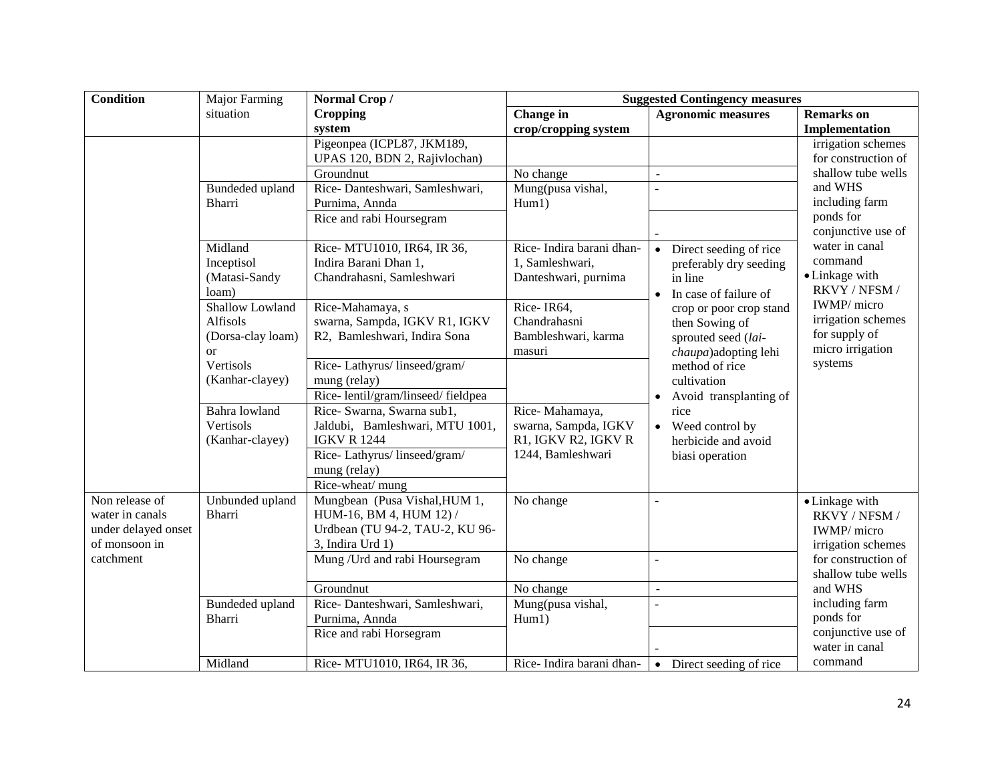| <b>Condition</b>                                                          | Major Farming                                                     | Normal Crop/                                                                                                    | <b>Suggested Contingency measures</b>                               |                                                                                                   |                                                                        |
|---------------------------------------------------------------------------|-------------------------------------------------------------------|-----------------------------------------------------------------------------------------------------------------|---------------------------------------------------------------------|---------------------------------------------------------------------------------------------------|------------------------------------------------------------------------|
|                                                                           | situation                                                         | <b>Cropping</b>                                                                                                 | Change in                                                           | <b>Agronomic measures</b>                                                                         | <b>Remarks</b> on                                                      |
|                                                                           |                                                                   | system                                                                                                          | crop/cropping system                                                |                                                                                                   | Implementation                                                         |
|                                                                           |                                                                   | Pigeonpea (ICPL87, JKM189,<br>UPAS 120, BDN 2, Rajivlochan)                                                     |                                                                     |                                                                                                   | irrigation schemes<br>for construction of                              |
|                                                                           |                                                                   | Groundnut                                                                                                       | No change                                                           | $\sim$                                                                                            | shallow tube wells                                                     |
|                                                                           | Bundeded upland<br>Bharri                                         | Rice-Danteshwari, Samleshwari,<br>Purnima, Annda<br>Rice and rabi Hoursegram                                    | Mung(pusa vishal,<br>Hum1)                                          |                                                                                                   | and WHS<br>including farm<br>ponds for                                 |
|                                                                           |                                                                   |                                                                                                                 |                                                                     |                                                                                                   | conjunctive use of                                                     |
|                                                                           | Midland<br>Inceptisol<br>(Matasi-Sandy<br>loam)                   | Rice- MTU1010, IR64, IR 36,<br>Indira Barani Dhan 1,<br>Chandrahasni, Samleshwari                               | Rice-Indira barani dhan-<br>1, Samleshwari,<br>Danteshwari, purnima | Direct seeding of rice<br>$\bullet$<br>preferably dry seeding<br>in line<br>In case of failure of | water in canal<br>command<br>• Linkage with<br>RKVY / NFSM /           |
|                                                                           | Shallow Lowland<br>Alfisols<br>(Dorsa-clay loam)<br><sub>or</sub> | Rice-Mahamaya, s<br>swarna, Sampda, IGKV R1, IGKV<br>R2, Bamleshwari, Indira Sona                               | Rice-IR64,<br>Chandrahasni<br>Bambleshwari, karma<br>masuri         | crop or poor crop stand<br>then Sowing of<br>sprouted seed (lai-<br>chaupa)adopting lehi          | IWMP/ micro<br>irrigation schemes<br>for supply of<br>micro irrigation |
|                                                                           | Vertisols<br>(Kanhar-clayey)                                      | Rice-Lathyrus/linseed/gram/<br>mung (relay)<br>Rice-lentil/gram/linseed/fieldpea                                |                                                                     | method of rice<br>cultivation<br>Avoid transplanting of                                           | systems                                                                |
|                                                                           | Bahra lowland<br>Vertisols<br>(Kanhar-clayey)                     | Rice- Swarna, Swarna sub1,<br>Jaldubi, Bamleshwari, MTU 1001,<br><b>IGKV R 1244</b>                             | Rice-Mahamaya,<br>swarna, Sampda, IGKV<br>R1, IGKV R2, IGKV R       | rice<br>Weed control by<br>$\bullet$<br>herbicide and avoid                                       |                                                                        |
|                                                                           |                                                                   | Rice-Lathyrus/linseed/gram/<br>mung (relay)<br>Rice-wheat/ mung                                                 | 1244, Bamleshwari                                                   | biasi operation                                                                                   |                                                                        |
| Non release of<br>water in canals<br>under delayed onset<br>of monsoon in | Unbunded upland<br><b>Bharri</b>                                  | Mungbean (Pusa Vishal, HUM 1,<br>HUM-16, BM 4, HUM 12) /<br>Urdbean (TU 94-2, TAU-2, KU 96-<br>3, Indira Urd 1) | No change                                                           |                                                                                                   | • Linkage with<br>RKVY / NFSM /<br>IWMP/micro<br>irrigation schemes    |
| catchment                                                                 |                                                                   | Mung / Urd and rabi Hoursegram                                                                                  | No change                                                           | $\overline{\phantom{a}}$                                                                          | for construction of<br>shallow tube wells                              |
|                                                                           |                                                                   | Groundnut                                                                                                       | No change                                                           | $\blacksquare$                                                                                    | and WHS                                                                |
|                                                                           | Bundeded upland<br><b>Bharri</b>                                  | Rice-Danteshwari, Samleshwari,<br>Purnima, Annda<br>Rice and rabi Horsegram                                     | Mung(pusa vishal,<br>Hum1)                                          | $\overline{\phantom{a}}$                                                                          | including farm<br>ponds for<br>conjunctive use of<br>water in canal    |
|                                                                           | Midland                                                           | Rice- MTU1010, IR64, IR 36,                                                                                     | Rice-Indira barani dhan-                                            | Direct seeding of rice<br>$\bullet$                                                               | command                                                                |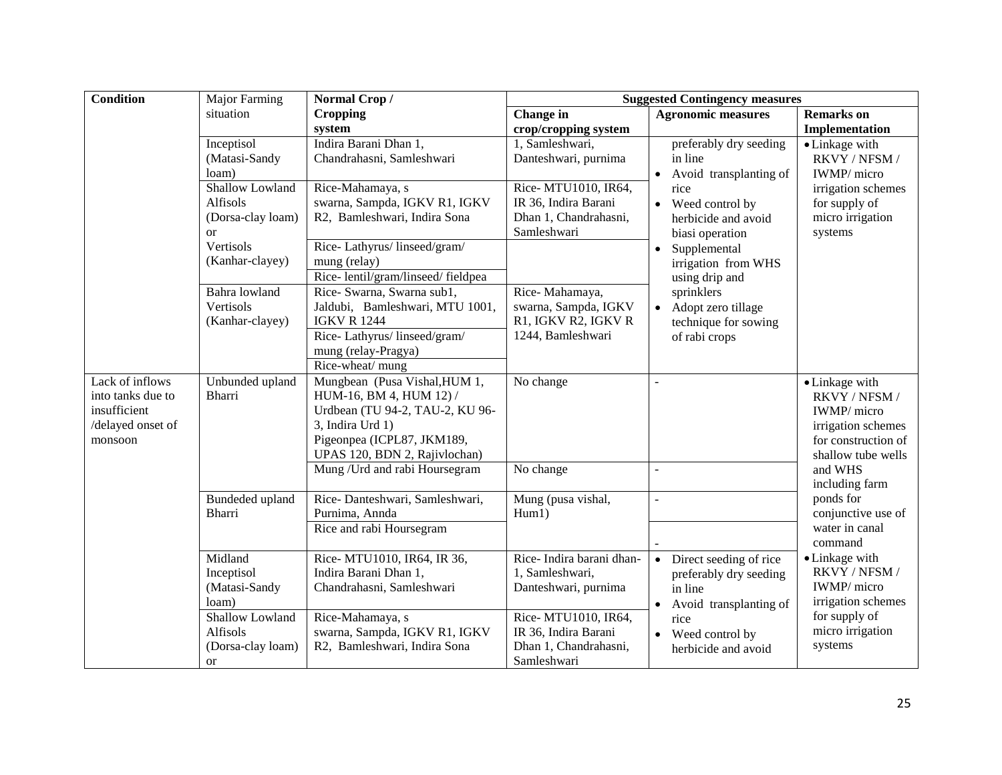| <b>Condition</b>  | Major Farming     | Normal Crop/                      | <b>Suggested Contingency measures</b> |                                     |                           |
|-------------------|-------------------|-----------------------------------|---------------------------------------|-------------------------------------|---------------------------|
|                   | situation         | <b>Cropping</b>                   | Change in                             | <b>Agronomic measures</b>           | <b>Remarks</b> on         |
|                   |                   | system                            | crop/cropping system                  |                                     | Implementation            |
|                   | Inceptisol        | Indira Barani Dhan 1,             | 1, Samleshwari,                       | preferably dry seeding              | • Linkage with            |
|                   | (Matasi-Sandy     | Chandrahasni, Samleshwari         | Danteshwari, purnima                  | in line                             | RKVY / NFSM /             |
|                   | loam)             |                                   |                                       | Avoid transplanting of              | IWMP/ micro               |
|                   | Shallow Lowland   | Rice-Mahamaya, s                  | Rice- MTU1010, IR64,                  | rice                                | irrigation schemes        |
|                   | Alfisols          | swarna, Sampda, IGKV R1, IGKV     | IR 36, Indira Barani                  | Weed control by<br>$\bullet$        | for supply of             |
|                   | (Dorsa-clay loam) | R2, Bamleshwari, Indira Sona      | Dhan 1, Chandrahasni,                 | herbicide and avoid                 | micro irrigation          |
|                   | <sub>or</sub>     |                                   | Samleshwari                           | biasi operation                     | systems                   |
|                   | Vertisols         | Rice-Lathyrus/linseed/gram/       |                                       | Supplemental<br>$\bullet$           |                           |
|                   | (Kanhar-clayey)   | mung (relay)                      |                                       | irrigation from WHS                 |                           |
|                   |                   | Rice-lentil/gram/linseed/fieldpea |                                       | using drip and                      |                           |
|                   | Bahra lowland     | Rice- Swarna, Swarna sub1,        | Rice-Mahamaya,                        | sprinklers                          |                           |
|                   | Vertisols         | Jaldubi, Bamleshwari, MTU 1001,   | swarna, Sampda, IGKV                  | Adopt zero tillage                  |                           |
|                   | (Kanhar-clayey)   | <b>IGKV R 1244</b>                | R1, IGKV R2, IGKV R                   | technique for sowing                |                           |
|                   |                   | Rice-Lathyrus/linseed/gram/       | 1244, Bamleshwari                     | of rabi crops                       |                           |
|                   |                   | mung (relay-Pragya)               |                                       |                                     |                           |
|                   |                   | Rice-wheat/ mung                  |                                       |                                     |                           |
| Lack of inflows   | Unbunded upland   | Mungbean (Pusa Vishal, HUM 1,     | No change                             |                                     | • Linkage with            |
| into tanks due to | <b>Bharri</b>     | HUM-16, BM 4, HUM 12) /           |                                       |                                     | RKVY / NFSM /             |
| insufficient      |                   | Urdbean (TU 94-2, TAU-2, KU 96-   |                                       |                                     | IWMP/ micro               |
| /delayed onset of |                   | 3, Indira Urd 1)                  |                                       |                                     | irrigation schemes        |
| monsoon           |                   | Pigeonpea (ICPL87, JKM189,        |                                       |                                     | for construction of       |
|                   |                   | UPAS 120, BDN 2, Rajivlochan)     |                                       | $\overline{a}$                      | shallow tube wells        |
|                   |                   | Mung / Urd and rabi Hoursegram    | No change                             |                                     | and WHS<br>including farm |
|                   | Bundeded upland   | Rice-Danteshwari, Samleshwari,    | Mung (pusa vishal,                    |                                     | ponds for                 |
|                   | <b>Bharri</b>     | Purnima, Annda                    | Hum1)                                 |                                     | conjunctive use of        |
|                   |                   | Rice and rabi Hoursegram          |                                       |                                     | water in canal            |
|                   |                   |                                   |                                       |                                     | command                   |
|                   | Midland           | Rice- MTU1010, IR64, IR 36,       | Rice-Indira barani dhan-              | Direct seeding of rice              | • Linkage with            |
|                   | Inceptisol        | Indira Barani Dhan 1,             | 1, Samleshwari,                       | preferably dry seeding              | RKVY / NFSM /             |
|                   | (Matasi-Sandy     | Chandrahasni, Samleshwari         | Danteshwari, purnima                  | in line                             | IWMP/ micro               |
|                   | loam)             |                                   |                                       | Avoid transplanting of<br>$\bullet$ | irrigation schemes        |
|                   | Shallow Lowland   | Rice-Mahamaya, s                  | Rice- MTU1010, IR64,                  | rice                                | for supply of             |
|                   | Alfisols          | swarna, Sampda, IGKV R1, IGKV     | IR 36, Indira Barani                  | • Weed control by                   | micro irrigation          |
|                   | (Dorsa-clay loam) | R2, Bamleshwari, Indira Sona      | Dhan 1, Chandrahasni,                 | herbicide and avoid                 | systems                   |
|                   | <b>or</b>         |                                   | Samleshwari                           |                                     |                           |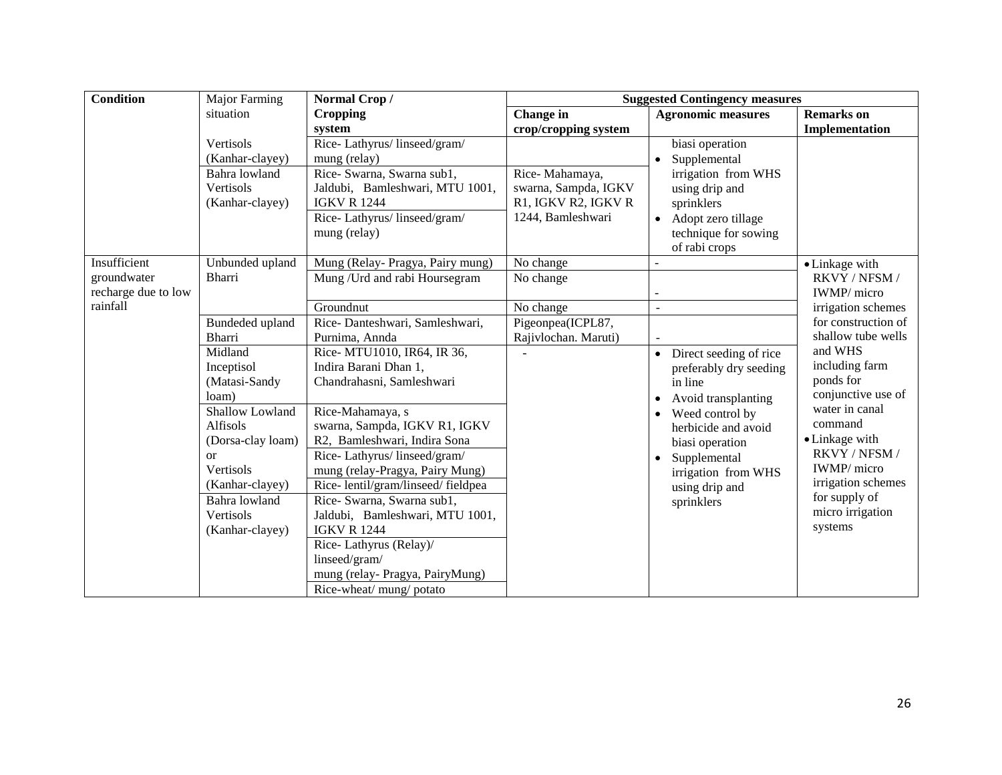| <b>Condition</b>    | <b>Major Farming</b> | Normal Crop/                      | <b>Suggested Contingency measures</b> |                                     |                     |
|---------------------|----------------------|-----------------------------------|---------------------------------------|-------------------------------------|---------------------|
|                     | situation            | <b>Cropping</b>                   | <b>Change</b> in                      | <b>Agronomic measures</b>           | <b>Remarks</b> on   |
|                     |                      | system                            | crop/cropping system                  |                                     | Implementation      |
|                     | Vertisols            | Rice-Lathyrus/linseed/gram/       |                                       | biasi operation                     |                     |
|                     | (Kanhar-clayey)      | mung (relay)                      |                                       | Supplemental<br>$\bullet$           |                     |
|                     | Bahra lowland        | Rice- Swarna, Swarna sub1,        | Rice-Mahamaya,                        | irrigation from WHS                 |                     |
|                     | Vertisols            | Jaldubi, Bamleshwari, MTU 1001,   | swarna, Sampda, IGKV                  | using drip and                      |                     |
|                     | (Kanhar-clayey)      | <b>IGKV R 1244</b>                | R1, IGKV R2, IGKV R                   | sprinklers                          |                     |
|                     |                      | Rice-Lathyrus/linseed/gram/       | 1244, Bamleshwari                     | Adopt zero tillage<br>$\bullet$     |                     |
|                     |                      | mung (relay)                      |                                       | technique for sowing                |                     |
|                     |                      |                                   |                                       | of rabi crops                       |                     |
| Insufficient        | Unbunded upland      | Mung (Relay- Pragya, Pairy mung)  | No change                             |                                     | • Linkage with      |
| groundwater         | <b>Bharri</b>        | Mung / Urd and rabi Hoursegram    | No change                             |                                     | RKVY / NFSM /       |
| recharge due to low |                      |                                   |                                       |                                     | IWMP/ micro         |
| rainfall            |                      | Groundnut                         | No change                             | ÷,                                  | irrigation schemes  |
|                     | Bundeded upland      | Rice-Danteshwari, Samleshwari,    | Pigeonpea(ICPL87,                     |                                     | for construction of |
|                     | Bharri               | Purnima, Annda                    | Rajivlochan. Maruti)                  |                                     | shallow tube wells  |
|                     | Midland              | Rice- MTU1010, IR64, IR 36,       |                                       | Direct seeding of rice<br>$\bullet$ | and WHS             |
|                     | Inceptisol           | Indira Barani Dhan 1,             |                                       | preferably dry seeding              | including farm      |
|                     | (Matasi-Sandy        | Chandrahasni, Samleshwari         |                                       | in line                             | ponds for           |
|                     | loam)                |                                   |                                       | Avoid transplanting<br>$\bullet$    | conjunctive use of  |
|                     | Shallow Lowland      | Rice-Mahamaya, s                  |                                       | Weed control by<br>$\bullet$        | water in canal      |
|                     | Alfisols             | swarna, Sampda, IGKV R1, IGKV     |                                       | herbicide and avoid                 | command             |
|                     | (Dorsa-clay loam)    | R2, Bamleshwari, Indira Sona      |                                       | biasi operation                     | • Linkage with      |
|                     | <b>or</b>            | Rice-Lathyrus/linseed/gram/       |                                       | Supplemental<br>$\bullet$           | RKVY / NFSM /       |
|                     | Vertisols            | mung (relay-Pragya, Pairy Mung)   |                                       | irrigation from WHS                 | IWMP/ micro         |
|                     | (Kanhar-clayey)      | Rice-lentil/gram/linseed/fieldpea |                                       | using drip and                      | irrigation schemes  |
|                     | Bahra lowland        | Rice- Swarna, Swarna sub1,        |                                       | sprinklers                          | for supply of       |
|                     | Vertisols            | Jaldubi, Bamleshwari, MTU 1001,   |                                       |                                     | micro irrigation    |
|                     | (Kanhar-clayey)      | <b>IGKV R 1244</b>                |                                       |                                     | systems             |
|                     |                      | Rice-Lathyrus (Relay)/            |                                       |                                     |                     |
|                     |                      | linseed/gram/                     |                                       |                                     |                     |
|                     |                      | mung (relay- Pragya, PairyMung)   |                                       |                                     |                     |
|                     |                      | Rice-wheat/mung/potato            |                                       |                                     |                     |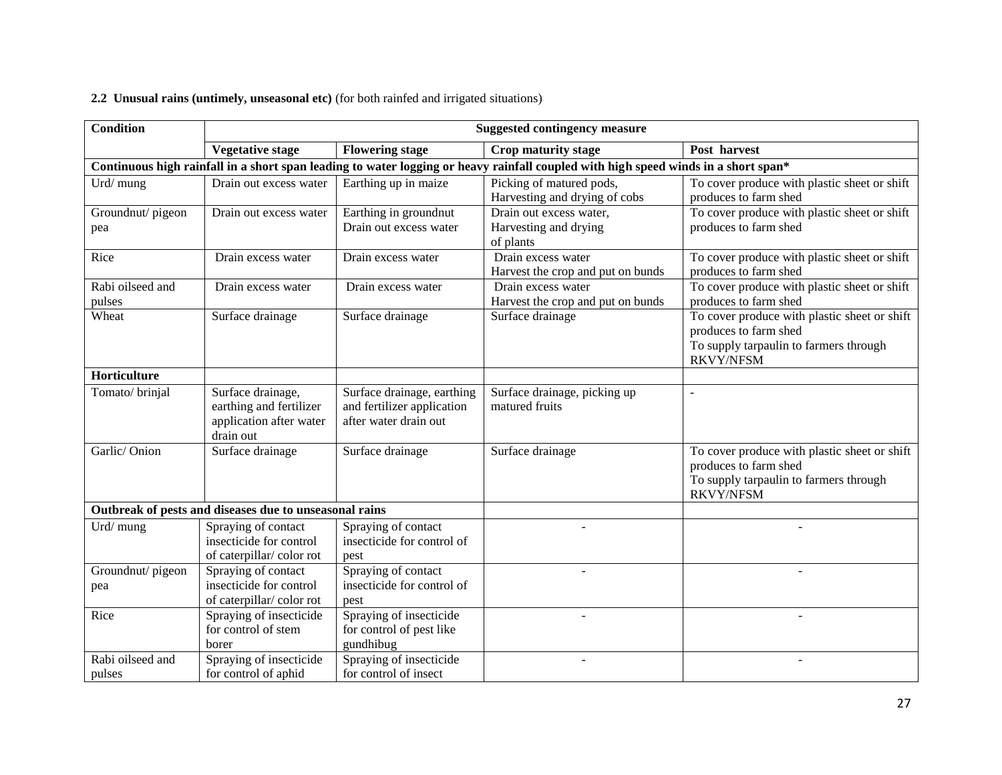## **2.2 Unusual rains (untimely, unseasonal etc)** (for both rainfed and irrigated situations)

| <b>Condition</b>           | <b>Suggested contingency measure</b>                                                 |                                                                                   |                                                                                                                                    |                                                                                                                                     |  |
|----------------------------|--------------------------------------------------------------------------------------|-----------------------------------------------------------------------------------|------------------------------------------------------------------------------------------------------------------------------------|-------------------------------------------------------------------------------------------------------------------------------------|--|
|                            | <b>Vegetative stage</b>                                                              | <b>Flowering stage</b>                                                            | Crop maturity stage                                                                                                                | Post harvest                                                                                                                        |  |
|                            |                                                                                      |                                                                                   | Continuous high rainfall in a short span leading to water logging or heavy rainfall coupled with high speed winds in a short span* |                                                                                                                                     |  |
| Urd/mung                   | Drain out excess water                                                               | Earthing up in maize                                                              | Picking of matured pods,<br>Harvesting and drying of cobs                                                                          | To cover produce with plastic sheet or shift<br>produces to farm shed                                                               |  |
| Groundnut/pigeon<br>pea    | Drain out excess water                                                               | Earthing in groundnut<br>Drain out excess water                                   | Drain out excess water,<br>Harvesting and drying<br>of plants                                                                      | To cover produce with plastic sheet or shift<br>produces to farm shed                                                               |  |
| Rice                       | Drain excess water                                                                   | Drain excess water                                                                | Drain excess water<br>Harvest the crop and put on bunds                                                                            | To cover produce with plastic sheet or shift<br>produces to farm shed                                                               |  |
| Rabi oilseed and<br>pulses | Drain excess water                                                                   | Drain excess water                                                                | Drain excess water<br>Harvest the crop and put on bunds                                                                            | To cover produce with plastic sheet or shift<br>produces to farm shed                                                               |  |
| Wheat                      | Surface drainage                                                                     | Surface drainage                                                                  | Surface drainage                                                                                                                   | To cover produce with plastic sheet or shift<br>produces to farm shed<br>To supply tarpaulin to farmers through<br><b>RKVY/NFSM</b> |  |
| Horticulture               |                                                                                      |                                                                                   |                                                                                                                                    |                                                                                                                                     |  |
| Tomato/brinjal             | Surface drainage,<br>earthing and fertilizer<br>application after water<br>drain out | Surface drainage, earthing<br>and fertilizer application<br>after water drain out | Surface drainage, picking up<br>matured fruits                                                                                     | $\sim$                                                                                                                              |  |
| Garlic/Onion               | Surface drainage                                                                     | Surface drainage                                                                  | Surface drainage                                                                                                                   | To cover produce with plastic sheet or shift<br>produces to farm shed<br>To supply tarpaulin to farmers through<br><b>RKVY/NFSM</b> |  |
|                            | Outbreak of pests and diseases due to unseasonal rains                               |                                                                                   |                                                                                                                                    |                                                                                                                                     |  |
| Urd/mung                   | Spraying of contact<br>insecticide for control<br>of caterpillar/color rot           | Spraying of contact<br>insecticide for control of<br>pest                         |                                                                                                                                    |                                                                                                                                     |  |
| Groundnut/pigeon<br>pea    | Spraying of contact<br>insecticide for control<br>of caterpillar/color rot           | Spraying of contact<br>insecticide for control of<br>pest                         |                                                                                                                                    |                                                                                                                                     |  |
| Rice                       | Spraying of insecticide<br>for control of stem<br>borer                              | Spraying of insecticide<br>for control of pest like<br>gundhibug                  |                                                                                                                                    |                                                                                                                                     |  |
| Rabi oilseed and<br>pulses | Spraying of insecticide<br>for control of aphid                                      | Spraying of insecticide<br>for control of insect                                  |                                                                                                                                    | L                                                                                                                                   |  |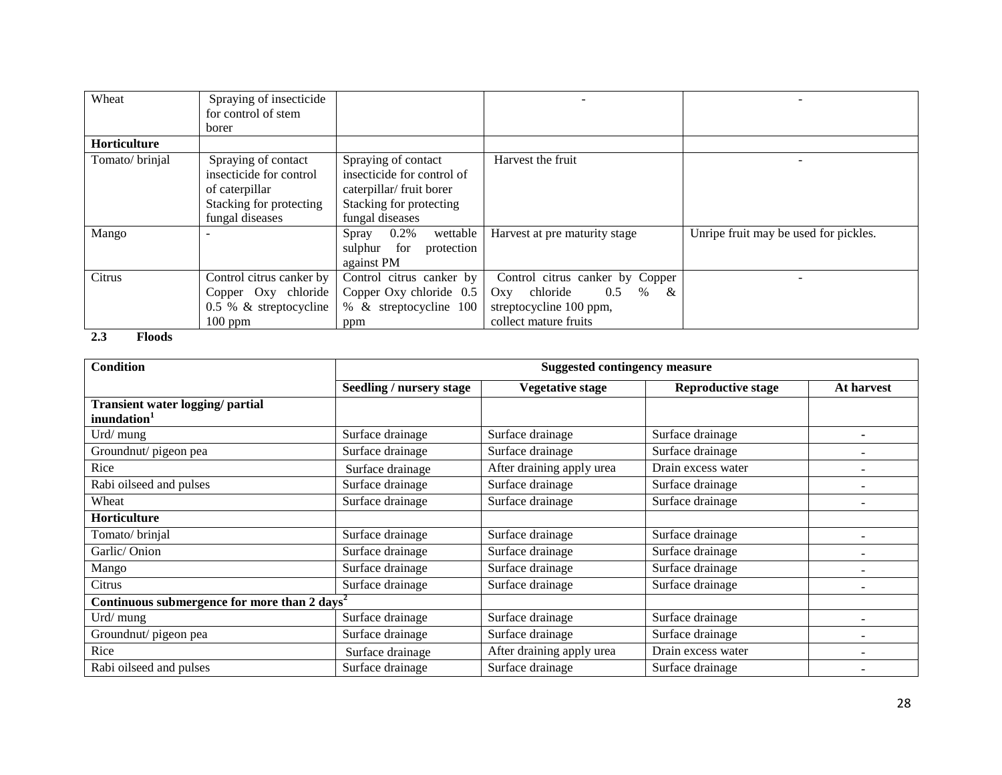| Wheat          | Spraying of insecticide  |                            |                                  |                                       |
|----------------|--------------------------|----------------------------|----------------------------------|---------------------------------------|
|                | for control of stem      |                            |                                  |                                       |
|                | borer                    |                            |                                  |                                       |
| Horticulture   |                          |                            |                                  |                                       |
| Tomato/brinjal | Spraying of contact      | Spraying of contact        | Harvest the fruit                |                                       |
|                | insecticide for control  | insecticide for control of |                                  |                                       |
|                | of caterpillar           | caterpillar/ fruit borer   |                                  |                                       |
|                | Stacking for protecting  | Stacking for protecting    |                                  |                                       |
|                | fungal diseases          | fungal diseases            |                                  |                                       |
| Mango          |                          | 0.2%<br>wettable<br>Spray  | Harvest at pre maturity stage    | Unripe fruit may be used for pickles. |
|                |                          | sulphur for<br>protection  |                                  |                                       |
|                |                          | against PM                 |                                  |                                       |
| Citrus         | Control citrus canker by | Control citrus canker by   | Control citrus canker by Copper  |                                       |
|                | Copper Oxy chloride      | Copper Oxy chloride $0.5$  | $\%$<br>0.5<br>Oxy chloride<br>& |                                       |
|                | $0.5 %$ & streptocycline | % & streptocycline 100     | streptocycline 100 ppm,          |                                       |
|                | $100$ ppm                | ppm                        | collect mature fruits            |                                       |

**2.3 Floods**

| <b>Condition</b>                                            |                          | <b>Suggested contingency measure</b> |                           |            |  |
|-------------------------------------------------------------|--------------------------|--------------------------------------|---------------------------|------------|--|
|                                                             | Seedling / nursery stage | <b>Vegetative stage</b>              | <b>Reproductive stage</b> | At harvest |  |
| Transient water logging/ partial<br>inundation <sup>1</sup> |                          |                                      |                           |            |  |
| Urd/ mung                                                   | Surface drainage         | Surface drainage                     | Surface drainage          |            |  |
| Groundnut/ pigeon pea                                       | Surface drainage         | Surface drainage                     | Surface drainage          |            |  |
| Rice                                                        | Surface drainage         | After draining apply urea            | Drain excess water        |            |  |
| Rabi oilseed and pulses                                     | Surface drainage         | Surface drainage                     | Surface drainage          |            |  |
| Wheat                                                       | Surface drainage         | Surface drainage                     | Surface drainage          |            |  |
| Horticulture                                                |                          |                                      |                           |            |  |
| Tomato/brinjal                                              | Surface drainage         | Surface drainage                     | Surface drainage          |            |  |
| Garlic/Onion                                                | Surface drainage         | Surface drainage                     | Surface drainage          |            |  |
| Mango                                                       | Surface drainage         | Surface drainage                     | Surface drainage          |            |  |
| Citrus                                                      | Surface drainage         | Surface drainage                     | Surface drainage          |            |  |
| Continuous submergence for more than 2 days <sup>2</sup>    |                          |                                      |                           |            |  |
| Urd/ mung                                                   | Surface drainage         | Surface drainage                     | Surface drainage          |            |  |
| Groundnut/ pigeon pea                                       | Surface drainage         | Surface drainage                     | Surface drainage          |            |  |
| Rice                                                        | Surface drainage         | After draining apply urea            | Drain excess water        |            |  |
| Rabi oilseed and pulses                                     | Surface drainage         | Surface drainage                     | Surface drainage          |            |  |